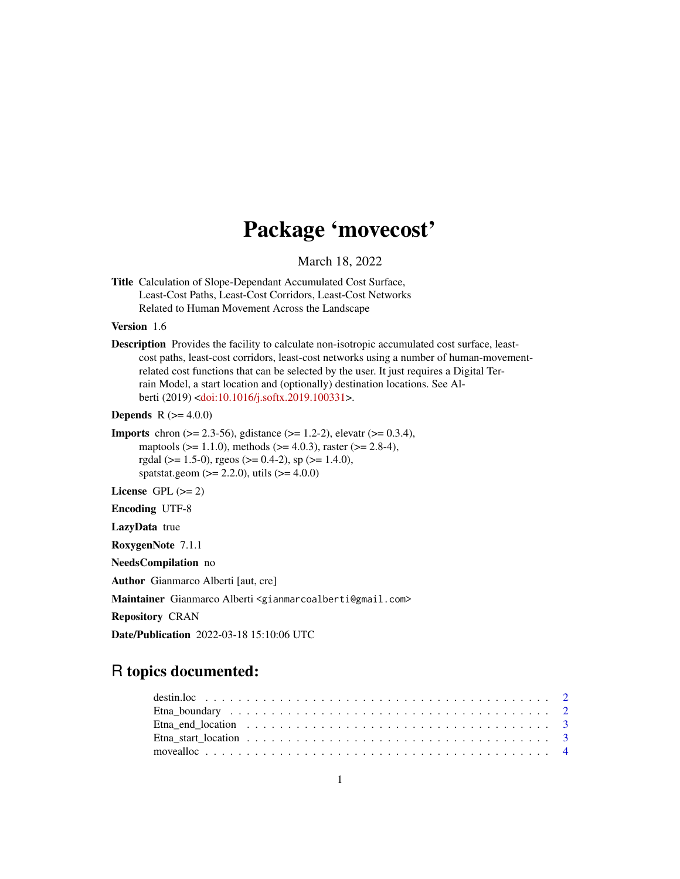# Package 'movecost'

March 18, 2022

<span id="page-0-0"></span>Title Calculation of Slope-Dependant Accumulated Cost Surface, Least-Cost Paths, Least-Cost Corridors, Least-Cost Networks Related to Human Movement Across the Landscape

### Version 1.6

Description Provides the facility to calculate non-isotropic accumulated cost surface, leastcost paths, least-cost corridors, least-cost networks using a number of human-movementrelated cost functions that can be selected by the user. It just requires a Digital Terrain Model, a start location and (optionally) destination locations. See Alberti (2019) [<doi:10.1016/j.softx.2019.100331>](https://doi.org/10.1016/j.softx.2019.100331).

**Depends**  $R (= 4.0.0)$ 

**Imports** chron ( $>= 2.3-56$ ), gdistance ( $>= 1.2-2$ ), elevatr ( $>= 0.3.4$ ), maptools ( $>= 1.1.0$ ), methods ( $>= 4.0.3$ ), raster ( $>= 2.8-4$ ), rgdal ( $>= 1.5-0$ ), rgeos ( $>= 0.4-2$ ), sp ( $>= 1.4.0$ ), spatstat.geom ( $>= 2.2.0$ ), utils ( $>= 4.0.0$ )

License GPL  $(>= 2)$ 

Encoding UTF-8

LazyData true

RoxygenNote 7.1.1

NeedsCompilation no

Author Gianmarco Alberti [aut, cre]

Maintainer Gianmarco Alberti <gianmarcoalberti@gmail.com>

Repository CRAN

Date/Publication 2022-03-18 15:10:06 UTC

## R topics documented:

| Etna end location $\ldots \ldots \ldots \ldots \ldots \ldots \ldots \ldots \ldots \ldots \ldots \ldots$ |  |  |  |  |  |  |  |  |  |  |  |  |  |  |  |  |  |  |  |
|---------------------------------------------------------------------------------------------------------|--|--|--|--|--|--|--|--|--|--|--|--|--|--|--|--|--|--|--|
|                                                                                                         |  |  |  |  |  |  |  |  |  |  |  |  |  |  |  |  |  |  |  |
|                                                                                                         |  |  |  |  |  |  |  |  |  |  |  |  |  |  |  |  |  |  |  |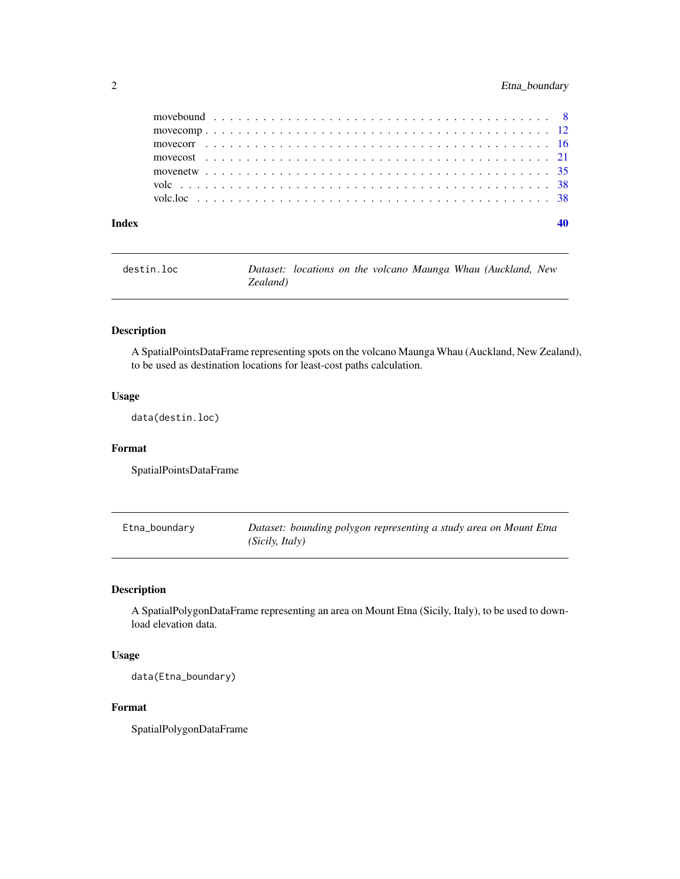## <span id="page-1-0"></span>2 Etna\_boundary

| destin.loc |          |  |  |  | Dataset: locations on the volcano Maunga Whau (Auckland, New |  |
|------------|----------|--|--|--|--------------------------------------------------------------|--|
|            | Zealand) |  |  |  |                                                              |  |

## Description

A SpatialPointsDataFrame representing spots on the volcano Maunga Whau (Auckland, New Zealand), to be used as destination locations for least-cost paths calculation.

## Usage

data(destin.loc)

### Format

SpatialPointsDataFrame

| Etna_boundary | Dataset: bounding polygon representing a study area on Mount Etna |
|---------------|-------------------------------------------------------------------|
|               | (Sicily, Italy)                                                   |

## Description

A SpatialPolygonDataFrame representing an area on Mount Etna (Sicily, Italy), to be used to download elevation data.

## Usage

data(Etna\_boundary)

## Format

SpatialPolygonDataFrame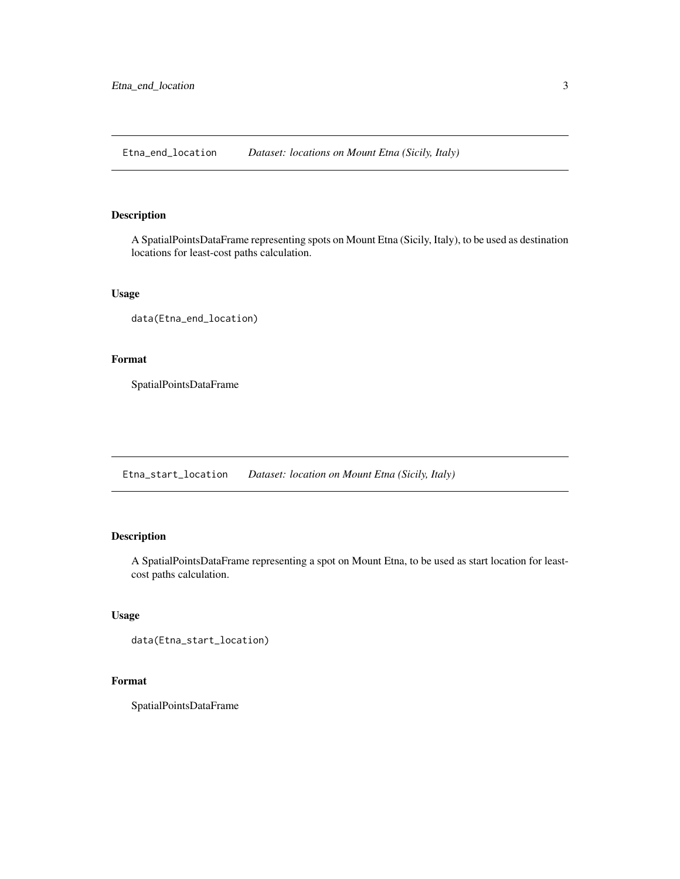<span id="page-2-0"></span>Etna\_end\_location *Dataset: locations on Mount Etna (Sicily, Italy)*

## Description

A SpatialPointsDataFrame representing spots on Mount Etna (Sicily, Italy), to be used as destination locations for least-cost paths calculation.

## Usage

```
data(Etna_end_location)
```
## Format

SpatialPointsDataFrame

Etna\_start\_location *Dataset: location on Mount Etna (Sicily, Italy)*

## Description

A SpatialPointsDataFrame representing a spot on Mount Etna, to be used as start location for leastcost paths calculation.

## Usage

```
data(Etna_start_location)
```
## Format

SpatialPointsDataFrame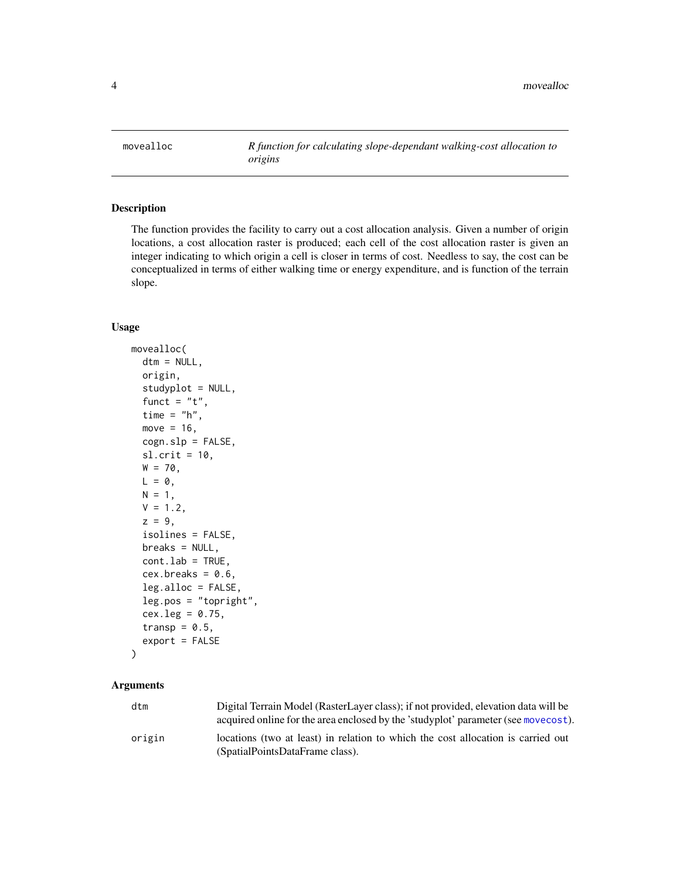<span id="page-3-1"></span><span id="page-3-0"></span>movealloc *R function for calculating slope-dependant walking-cost allocation to origins*

## Description

The function provides the facility to carry out a cost allocation analysis. Given a number of origin locations, a cost allocation raster is produced; each cell of the cost allocation raster is given an integer indicating to which origin a cell is closer in terms of cost. Needless to say, the cost can be conceptualized in terms of either walking time or energy expenditure, and is function of the terrain slope.

### Usage

```
movealloc(
  dtm = NULL,
  origin,
  studyplot = NULL,
  funct = "t",time = "h",move = 16,
  cogn.slp = FALSE,sl.crit = 10,
  W = 70,L = 0,
 N = 1,
  V = 1.2,
  z = 9,
  isolines = FALSE,
  breaks = NULL,cont.lab = TRUE,cex.breaks = 0.6,
  leg.alloc = FALSE,
  leg.pos = "topright",
  cex.leg = 0.75,
  transp = 0.5,
  export = FALSE
\mathcal{E}
```
## **Arguments**

| dtm    | Digital Terrain Model (RasterLayer class); if not provided, elevation data will be |
|--------|------------------------------------------------------------------------------------|
|        | acquired online for the area enclosed by the 'studyplot' parameter (see movecost). |
| origin | locations (two at least) in relation to which the cost allocation is carried out   |
|        | (SpatialPointsDataFrame class).                                                    |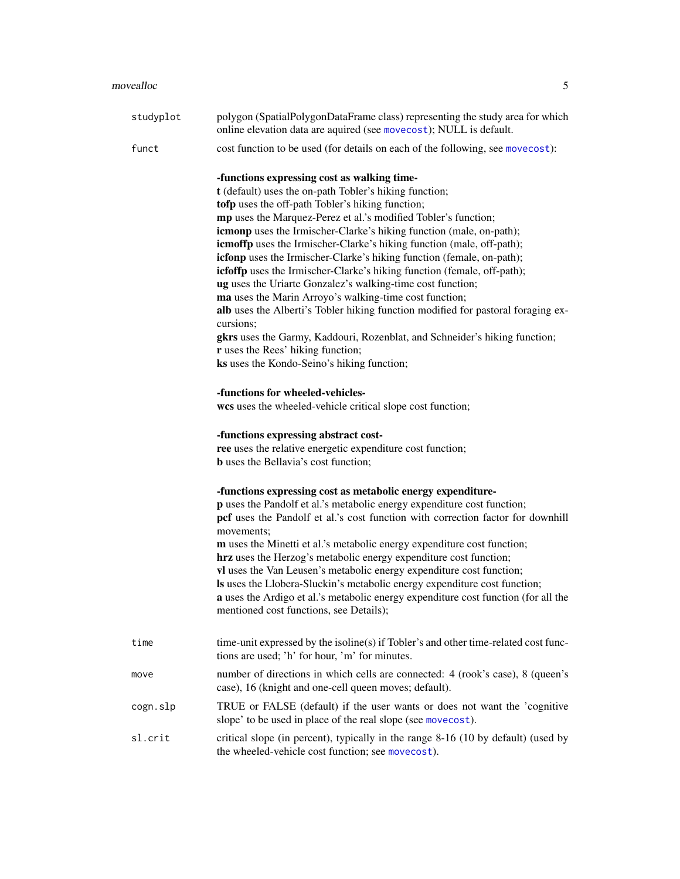| studyplot | polygon (SpatialPolygonDataFrame class) representing the study area for which<br>online elevation data are aquired (see movecost); NULL is default.                                                                                                                                                                                                                                                                                                                                                                                                                                                                                                                                                                                                                                                                                                                                                                       |
|-----------|---------------------------------------------------------------------------------------------------------------------------------------------------------------------------------------------------------------------------------------------------------------------------------------------------------------------------------------------------------------------------------------------------------------------------------------------------------------------------------------------------------------------------------------------------------------------------------------------------------------------------------------------------------------------------------------------------------------------------------------------------------------------------------------------------------------------------------------------------------------------------------------------------------------------------|
| funct     | cost function to be used (for details on each of the following, see movecost):                                                                                                                                                                                                                                                                                                                                                                                                                                                                                                                                                                                                                                                                                                                                                                                                                                            |
|           | -functions expressing cost as walking time-<br>t (default) uses the on-path Tobler's hiking function;<br>tofp uses the off-path Tobler's hiking function;<br>mp uses the Marquez-Perez et al.'s modified Tobler's function;<br>icmonp uses the Irmischer-Clarke's hiking function (male, on-path);<br>icmoffp uses the Irmischer-Clarke's hiking function (male, off-path);<br>icfonp uses the Irmischer-Clarke's hiking function (female, on-path);<br>icfoffp uses the Irmischer-Clarke's hiking function (female, off-path);<br>ug uses the Uriarte Gonzalez's walking-time cost function;<br>ma uses the Marin Arroyo's walking-time cost function;<br>alb uses the Alberti's Tobler hiking function modified for pastoral foraging ex-<br>cursions;<br>gkrs uses the Garmy, Kaddouri, Rozenblat, and Schneider's hiking function;<br>r uses the Rees' hiking function;<br>ks uses the Kondo-Seino's hiking function; |
|           | -functions for wheeled-vehicles-<br>wcs uses the wheeled-vehicle critical slope cost function;                                                                                                                                                                                                                                                                                                                                                                                                                                                                                                                                                                                                                                                                                                                                                                                                                            |
|           | -functions expressing abstract cost-<br>ree uses the relative energetic expenditure cost function;<br><b>b</b> uses the Bellavia's cost function;                                                                                                                                                                                                                                                                                                                                                                                                                                                                                                                                                                                                                                                                                                                                                                         |
|           | -functions expressing cost as metabolic energy expenditure-<br>p uses the Pandolf et al.'s metabolic energy expenditure cost function;<br>pcf uses the Pandolf et al.'s cost function with correction factor for downhill<br>movements;<br>m uses the Minetti et al.'s metabolic energy expenditure cost function;<br>hrz uses the Herzog's metabolic energy expenditure cost function;<br>vl uses the Van Leusen's metabolic energy expenditure cost function;<br>Is uses the Llobera-Sluckin's metabolic energy expenditure cost function;<br>a uses the Ardigo et al.'s metabolic energy expenditure cost function (for all the<br>mentioned cost functions, see Details);                                                                                                                                                                                                                                             |
| time      | time-unit expressed by the isoline(s) if Tobler's and other time-related cost func-<br>tions are used; 'h' for hour, 'm' for minutes.                                                                                                                                                                                                                                                                                                                                                                                                                                                                                                                                                                                                                                                                                                                                                                                     |
| move      | number of directions in which cells are connected: 4 (rook's case), 8 (queen's<br>case), 16 (knight and one-cell queen moves; default).                                                                                                                                                                                                                                                                                                                                                                                                                                                                                                                                                                                                                                                                                                                                                                                   |
| cogn.slp  | TRUE or FALSE (default) if the user wants or does not want the 'cognitive<br>slope' to be used in place of the real slope (see movecost).                                                                                                                                                                                                                                                                                                                                                                                                                                                                                                                                                                                                                                                                                                                                                                                 |
| sl.crit   | critical slope (in percent), typically in the range 8-16 (10 by default) (used by<br>the wheeled-vehicle cost function; see movecost).                                                                                                                                                                                                                                                                                                                                                                                                                                                                                                                                                                                                                                                                                                                                                                                    |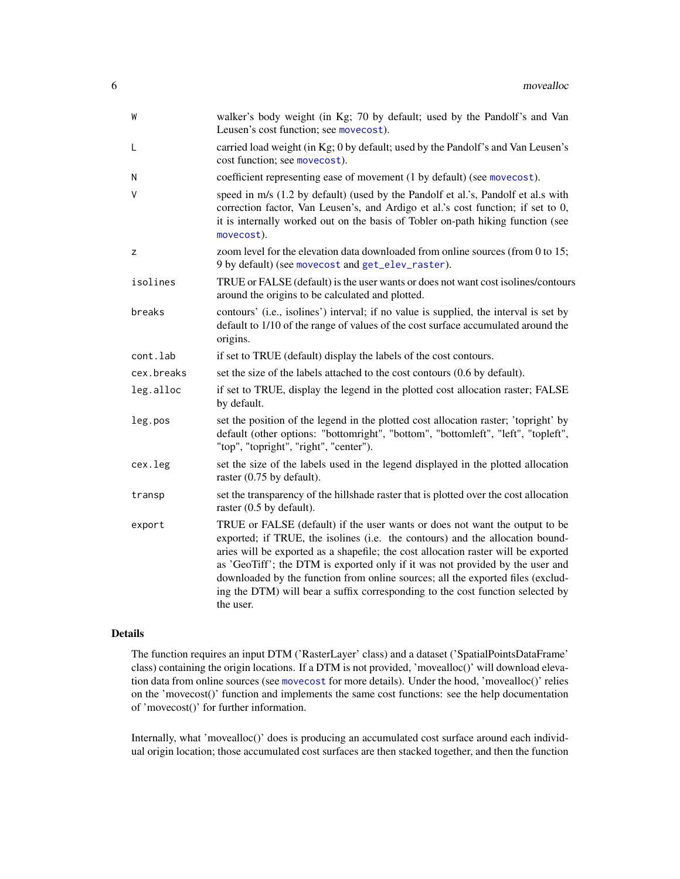<span id="page-5-0"></span>

| W          | walker's body weight (in Kg; 70 by default; used by the Pandolf's and Van<br>Leusen's cost function; see movecost).                                                                                                                                                                                                                                                                                                                                                                                                   |
|------------|-----------------------------------------------------------------------------------------------------------------------------------------------------------------------------------------------------------------------------------------------------------------------------------------------------------------------------------------------------------------------------------------------------------------------------------------------------------------------------------------------------------------------|
| L          | carried load weight (in Kg; 0 by default; used by the Pandolf's and Van Leusen's<br>cost function; see movecost).                                                                                                                                                                                                                                                                                                                                                                                                     |
| N          | coefficient representing ease of movement (1 by default) (see movecost).                                                                                                                                                                                                                                                                                                                                                                                                                                              |
| V          | speed in m/s (1.2 by default) (used by the Pandolf et al.'s, Pandolf et al.s with<br>correction factor, Van Leusen's, and Ardigo et al.'s cost function; if set to 0,<br>it is internally worked out on the basis of Tobler on-path hiking function (see<br>movecost).                                                                                                                                                                                                                                                |
| z          | zoom level for the elevation data downloaded from online sources (from 0 to 15;<br>9 by default) (see movecost and get_elev_raster).                                                                                                                                                                                                                                                                                                                                                                                  |
| isolines   | TRUE or FALSE (default) is the user wants or does not want cost isolines/contours<br>around the origins to be calculated and plotted.                                                                                                                                                                                                                                                                                                                                                                                 |
| breaks     | contours' (i.e., isolines') interval; if no value is supplied, the interval is set by<br>default to 1/10 of the range of values of the cost surface accumulated around the<br>origins.                                                                                                                                                                                                                                                                                                                                |
| cont.lab   | if set to TRUE (default) display the labels of the cost contours.                                                                                                                                                                                                                                                                                                                                                                                                                                                     |
| cex.breaks | set the size of the labels attached to the cost contours (0.6 by default).                                                                                                                                                                                                                                                                                                                                                                                                                                            |
| leg.alloc  | if set to TRUE, display the legend in the plotted cost allocation raster; FALSE<br>by default.                                                                                                                                                                                                                                                                                                                                                                                                                        |
| leg.pos    | set the position of the legend in the plotted cost allocation raster; 'topright' by<br>default (other options: "bottomright", "bottom", "bottomleft", "left", "topleft",<br>"top", "topright", "right", "center").                                                                                                                                                                                                                                                                                                    |
| cex.leg    | set the size of the labels used in the legend displayed in the plotted allocation<br>raster $(0.75$ by default).                                                                                                                                                                                                                                                                                                                                                                                                      |
| transp     | set the transparency of the hillshade raster that is plotted over the cost allocation<br>raster $(0.5$ by default).                                                                                                                                                                                                                                                                                                                                                                                                   |
| export     | TRUE or FALSE (default) if the user wants or does not want the output to be<br>exported; if TRUE, the isolines (i.e. the contours) and the allocation bound-<br>aries will be exported as a shapefile; the cost allocation raster will be exported<br>as 'GeoTiff'; the DTM is exported only if it was not provided by the user and<br>downloaded by the function from online sources; all the exported files (exclud-<br>ing the DTM) will bear a suffix corresponding to the cost function selected by<br>the user. |

## Details

The function requires an input DTM ('RasterLayer' class) and a dataset ('SpatialPointsDataFrame' class) containing the origin locations. If a DTM is not provided, 'movealloc()' will download elevation data from online sources (see [movecost](#page-20-1) for more details). Under the hood, 'movealloc()' relies on the 'movecost()' function and implements the same cost functions: see the help documentation of 'movecost()' for further information.

Internally, what 'movealloc()' does is producing an accumulated cost surface around each individual origin location; those accumulated cost surfaces are then stacked together, and then the function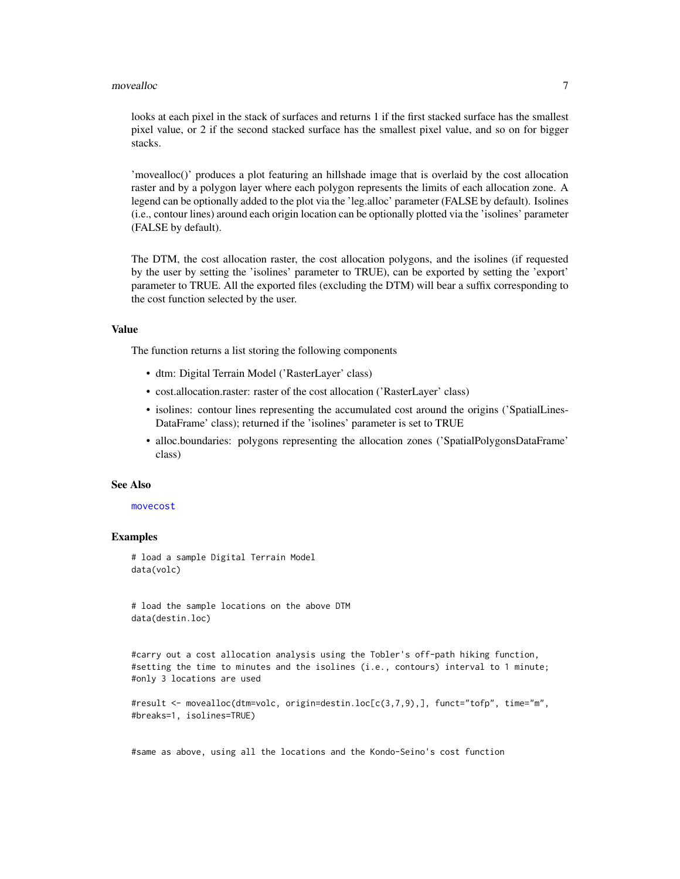### movealloc 7 and 7 and 7 and 7 and 7 and 7 and 7 and 7 and 7 and 7 and 7 and 7 and 7 and 7 and 7 and 7 and 7 and 7 and 7 and 7 and 7 and 7 and 7 and 7 and 7 and 7 and 7 and 7 and 7 and 7 and 7 and 7 and 7 and 7 and 7 and 7

looks at each pixel in the stack of surfaces and returns 1 if the first stacked surface has the smallest pixel value, or 2 if the second stacked surface has the smallest pixel value, and so on for bigger stacks.

'movealloc()' produces a plot featuring an hillshade image that is overlaid by the cost allocation raster and by a polygon layer where each polygon represents the limits of each allocation zone. A legend can be optionally added to the plot via the 'leg.alloc' parameter (FALSE by default). Isolines (i.e., contour lines) around each origin location can be optionally plotted via the 'isolines' parameter (FALSE by default).

The DTM, the cost allocation raster, the cost allocation polygons, and the isolines (if requested by the user by setting the 'isolines' parameter to TRUE), can be exported by setting the 'export' parameter to TRUE. All the exported files (excluding the DTM) will bear a suffix corresponding to the cost function selected by the user.

### Value

The function returns a list storing the following components

- dtm: Digital Terrain Model ('RasterLayer' class)
- cost.allocation.raster: raster of the cost allocation ('RasterLayer' class)
- isolines: contour lines representing the accumulated cost around the origins ('SpatialLines-DataFrame' class); returned if the 'isolines' parameter is set to TRUE
- alloc.boundaries: polygons representing the allocation zones ('SpatialPolygonsDataFrame' class)

### See Also

#### [movecost](#page-20-1)

### Examples

# load a sample Digital Terrain Model data(volc)

# load the sample locations on the above DTM data(destin.loc)

#carry out a cost allocation analysis using the Tobler's off-path hiking function, #setting the time to minutes and the isolines (i.e., contours) interval to 1 minute; #only 3 locations are used

```
#result <- movealloc(dtm=volc, origin=destin.loc[c(3,7,9),], funct="tofp", time="m",
#breaks=1, isolines=TRUE)
```
#same as above, using all the locations and the Kondo-Seino's cost function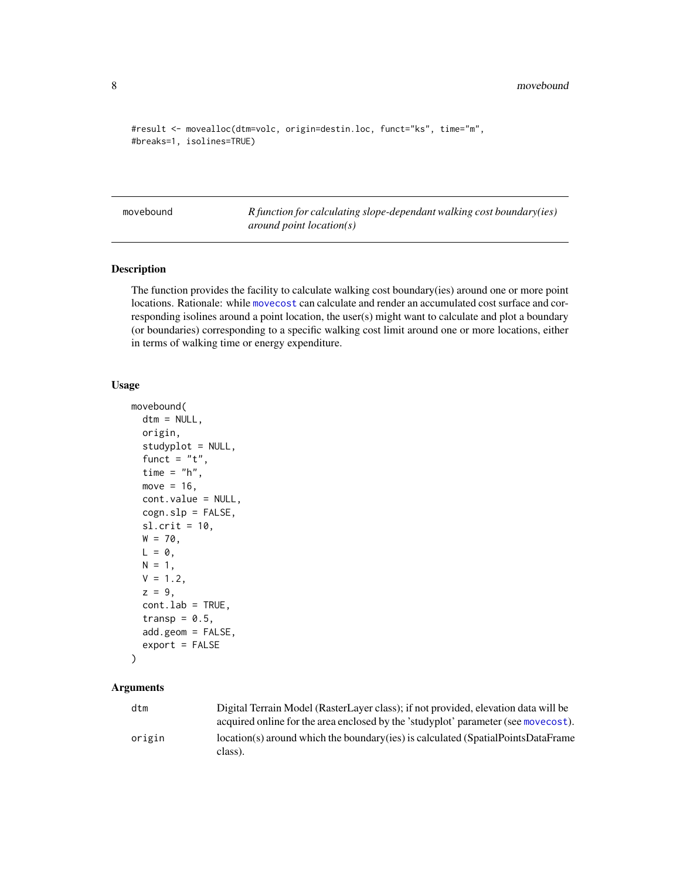```
#result <- movealloc(dtm=volc, origin=destin.loc, funct="ks", time="m",
#breaks=1, isolines=TRUE)
```
<span id="page-7-1"></span>movebound *R function for calculating slope-dependant walking cost boundary(ies) around point location(s)*

## Description

The function provides the facility to calculate walking cost boundary(ies) around one or more point locations. Rationale: while [movecost](#page-20-1) can calculate and render an accumulated cost surface and corresponding isolines around a point location, the user(s) might want to calculate and plot a boundary (or boundaries) corresponding to a specific walking cost limit around one or more locations, either in terms of walking time or energy expenditure.

## Usage

```
movebound(
  dtm = NULL,
  origin,
  studyplot = NULL,
  funct = "t",time = "h",
  move = 16,
  cont.value = NULL,
  cogn.slp = FALSE,sl. crit = 10,
  W = 70,
 L = 0,
 N = 1,
  V = 1.2,
  z = 9,
  cont.lab = TRUE,transp = 0.5,
  add.geom = FALSE,
  export = FALSE)
```
## Arguments

| dtm    | Digital Terrain Model (RasterLayer class); if not provided, elevation data will be           |
|--------|----------------------------------------------------------------------------------------------|
|        | acquired online for the area enclosed by the 'studyplot' parameter (see movecost).           |
| origin | location(s) around which the boundary (ies) is calculated (SpatialPointsDataFrame<br>class). |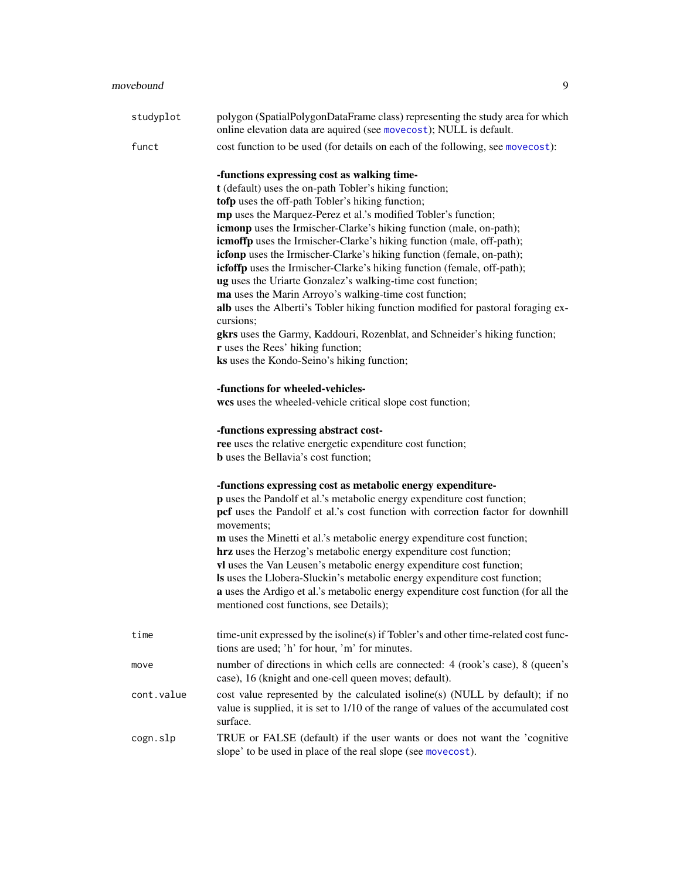| studyplot | polygon (SpatialPolygonDataFrame class) representing the study area for which<br>online elevation data are aquired (see movecost); NULL is default. |
|-----------|-----------------------------------------------------------------------------------------------------------------------------------------------------|
| funct     | cost function to be used (for details on each of the following, see movecost):                                                                      |
|           | -functions expressing cost as walking time-<br>t (default) uses the on-path Tobler's hiking function;                                               |
|           |                                                                                                                                                     |
|           | tofp uses the off-path Tobler's hiking function;<br>mp uses the Marquez-Perez et al.'s modified Tobler's function;                                  |
|           | icmonp uses the Irmischer-Clarke's hiking function (male, on-path);                                                                                 |
|           | icmoffp uses the Irmischer-Clarke's hiking function (male, off-path);                                                                               |
|           | icfonp uses the Irmischer-Clarke's hiking function (female, on-path);                                                                               |
|           | icfoffp uses the Irmischer-Clarke's hiking function (female, off-path);                                                                             |
|           | ug uses the Uriarte Gonzalez's walking-time cost function;                                                                                          |
|           | ma uses the Marin Arroyo's walking-time cost function;                                                                                              |
|           | alb uses the Alberti's Tobler hiking function modified for pastoral foraging ex-                                                                    |
|           | cursions;                                                                                                                                           |
|           | gkrs uses the Garmy, Kaddouri, Rozenblat, and Schneider's hiking function;                                                                          |
|           | r uses the Rees' hiking function;                                                                                                                   |
|           | ks uses the Kondo-Seino's hiking function;                                                                                                          |
|           | -functions for wheeled-vehicles-                                                                                                                    |
|           | wcs uses the wheeled-vehicle critical slope cost function;                                                                                          |
|           | -functions expressing abstract cost-                                                                                                                |
|           | ree uses the relative energetic expenditure cost function;                                                                                          |
|           | <b>b</b> uses the Bellavia's cost function;                                                                                                         |
|           | -functions expressing cost as metabolic energy expenditure-                                                                                         |
|           | p uses the Pandolf et al.'s metabolic energy expenditure cost function;                                                                             |
|           | pcf uses the Pandolf et al.'s cost function with correction factor for downhill<br>movements;                                                       |
|           | m uses the Minetti et al.'s metabolic energy expenditure cost function;                                                                             |
|           | hrz uses the Herzog's metabolic energy expenditure cost function;                                                                                   |
|           | vl uses the Van Leusen's metabolic energy expenditure cost function;                                                                                |
|           | Is uses the Llobera-Sluckin's metabolic energy expenditure cost function;                                                                           |
|           | a uses the Ardigo et al.'s metabolic energy expenditure cost function (for all the                                                                  |
|           | mentioned cost functions, see Details);                                                                                                             |
| time      | time-unit expressed by the isoline(s) if Tobler's and other time-related cost func-                                                                 |
|           |                                                                                                                                                     |

|            | tions are used; 'h' for hour, 'm' for minutes.                                                                                                                                  |
|------------|---------------------------------------------------------------------------------------------------------------------------------------------------------------------------------|
| move       | number of directions in which cells are connected: 4 (rook's case), 8 (queen's<br>case), 16 (knight and one-cell queen moves; default).                                         |
| cont.value | cost value represented by the calculated isoline(s) (NULL by default); if no<br>value is supplied, it is set to 1/10 of the range of values of the accumulated cost<br>surface. |
| cogn.slp   | TRUE or FALSE (default) if the user wants or does not want the 'cognitive<br>slope' to be used in place of the real slope (see movecost).                                       |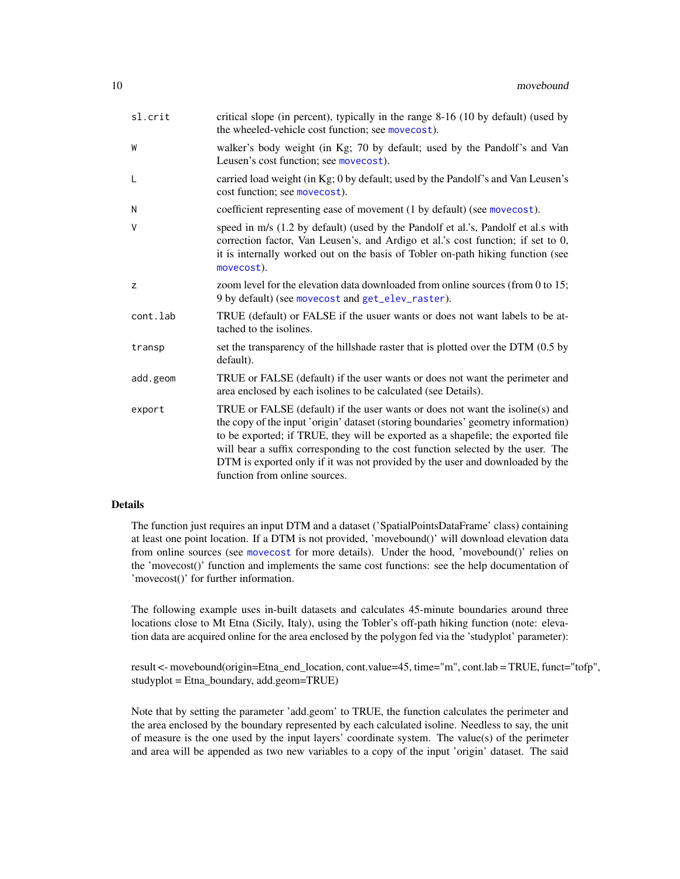<span id="page-9-0"></span>

| sl.crit  | critical slope (in percent), typically in the range 8-16 (10 by default) (used by<br>the wheeled-vehicle cost function; see movecost).                                                                                                                                                                                                                                                                                                                      |
|----------|-------------------------------------------------------------------------------------------------------------------------------------------------------------------------------------------------------------------------------------------------------------------------------------------------------------------------------------------------------------------------------------------------------------------------------------------------------------|
| W        | walker's body weight (in Kg; 70 by default; used by the Pandolf's and Van<br>Leusen's cost function; see movecost).                                                                                                                                                                                                                                                                                                                                         |
| L        | carried load weight (in Kg; 0 by default; used by the Pandolf's and Van Leusen's<br>cost function; see movecost).                                                                                                                                                                                                                                                                                                                                           |
| N        | coefficient representing ease of movement (1 by default) (see movecost).                                                                                                                                                                                                                                                                                                                                                                                    |
| V        | speed in m/s (1.2 by default) (used by the Pandolf et al.'s, Pandolf et al.s with<br>correction factor, Van Leusen's, and Ardigo et al.'s cost function; if set to 0,<br>it is internally worked out on the basis of Tobler on-path hiking function (see<br>movecost).                                                                                                                                                                                      |
| z        | zoom level for the elevation data downloaded from online sources (from 0 to 15;<br>9 by default) (see movecost and get_elev_raster).                                                                                                                                                                                                                                                                                                                        |
| cont.lab | TRUE (default) or FALSE if the usuer wants or does not want labels to be at-<br>tached to the isolines.                                                                                                                                                                                                                                                                                                                                                     |
| transp   | set the transparency of the hillshade raster that is plotted over the DTM (0.5 by<br>default).                                                                                                                                                                                                                                                                                                                                                              |
| add.geom | TRUE or FALSE (default) if the user wants or does not want the perimeter and<br>area enclosed by each isolines to be calculated (see Details).                                                                                                                                                                                                                                                                                                              |
| export   | TRUE or FALSE (default) if the user wants or does not want the isoline(s) and<br>the copy of the input 'origin' dataset (storing boundaries' geometry information)<br>to be exported; if TRUE, they will be exported as a shapefile; the exported file<br>will bear a suffix corresponding to the cost function selected by the user. The<br>DTM is exported only if it was not provided by the user and downloaded by the<br>function from online sources. |

### Details

The function just requires an input DTM and a dataset ('SpatialPointsDataFrame' class) containing at least one point location. If a DTM is not provided, 'movebound()' will download elevation data from online sources (see [movecost](#page-20-1) for more details). Under the hood, 'movebound()' relies on the 'movecost()' function and implements the same cost functions: see the help documentation of 'movecost()' for further information.

The following example uses in-built datasets and calculates 45-minute boundaries around three locations close to Mt Etna (Sicily, Italy), using the Tobler's off-path hiking function (note: elevation data are acquired online for the area enclosed by the polygon fed via the 'studyplot' parameter):

result <- movebound(origin=Etna\_end\_location, cont.value=45, time="m", cont.lab = TRUE, funct="tofp", studyplot = Etna\_boundary, add.geom=TRUE)

Note that by setting the parameter 'add.geom' to TRUE, the function calculates the perimeter and the area enclosed by the boundary represented by each calculated isoline. Needless to say, the unit of measure is the one used by the input layers' coordinate system. The value(s) of the perimeter and area will be appended as two new variables to a copy of the input 'origin' dataset. The said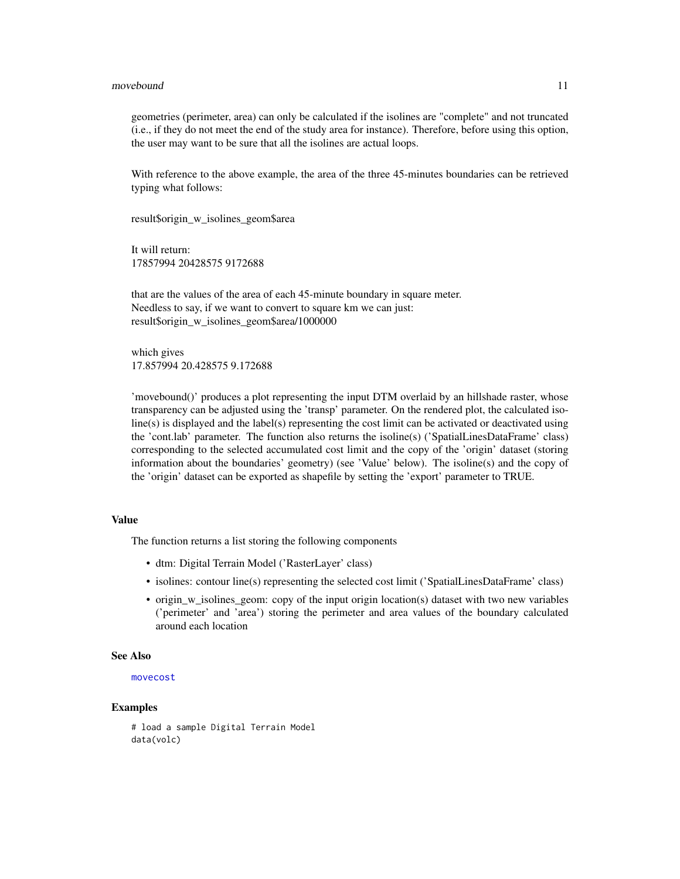### <span id="page-10-0"></span>movebound 11

geometries (perimeter, area) can only be calculated if the isolines are "complete" and not truncated (i.e., if they do not meet the end of the study area for instance). Therefore, before using this option, the user may want to be sure that all the isolines are actual loops.

With reference to the above example, the area of the three 45-minutes boundaries can be retrieved typing what follows:

result\$origin\_w\_isolines\_geom\$area

It will return: 17857994 20428575 9172688

that are the values of the area of each 45-minute boundary in square meter. Needless to say, if we want to convert to square km we can just: result\$origin\_w\_isolines\_geom\$area/1000000

which gives 17.857994 20.428575 9.172688

'movebound()' produces a plot representing the input DTM overlaid by an hillshade raster, whose transparency can be adjusted using the 'transp' parameter. On the rendered plot, the calculated isoline(s) is displayed and the label(s) representing the cost limit can be activated or deactivated using the 'cont.lab' parameter. The function also returns the isoline(s) ('SpatialLinesDataFrame' class) corresponding to the selected accumulated cost limit and the copy of the 'origin' dataset (storing information about the boundaries' geometry) (see 'Value' below). The isoline(s) and the copy of the 'origin' dataset can be exported as shapefile by setting the 'export' parameter to TRUE.

## Value

The function returns a list storing the following components

- dtm: Digital Terrain Model ('RasterLayer' class)
- isolines: contour line(s) representing the selected cost limit ('SpatialLinesDataFrame' class)
- origin\_w\_isolines\_geom: copy of the input origin location(s) dataset with two new variables ('perimeter' and 'area') storing the perimeter and area values of the boundary calculated around each location

### See Also

### [movecost](#page-20-1)

## Examples

# load a sample Digital Terrain Model data(volc)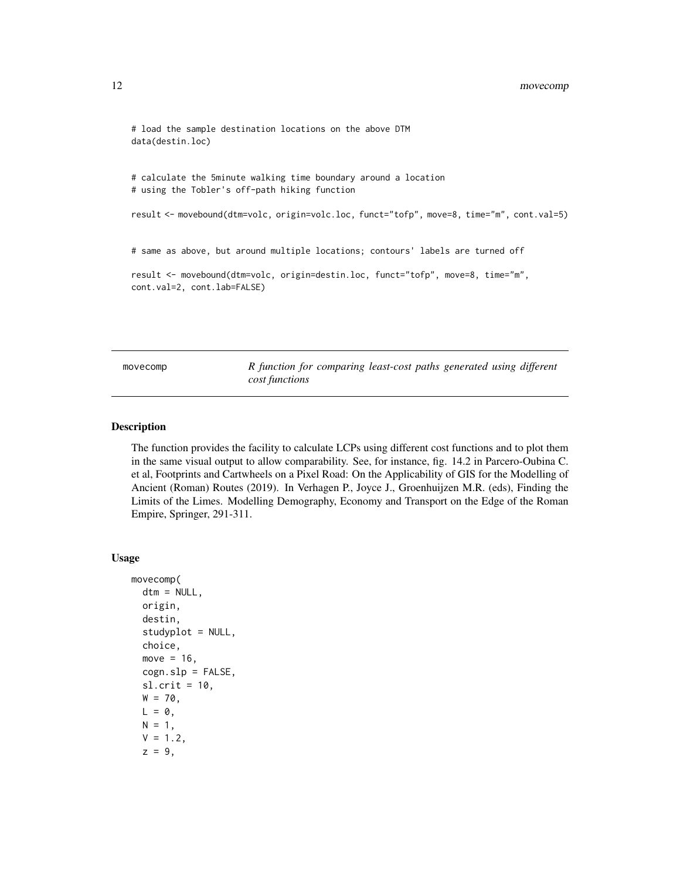```
# load the sample destination locations on the above DTM
data(destin.loc)
# calculate the 5minute walking time boundary around a location
# using the Tobler's off-path hiking function
result <- movebound(dtm=volc, origin=volc.loc, funct="tofp", move=8, time="m", cont.val=5)
# same as above, but around multiple locations; contours' labels are turned off
result <- movebound(dtm=volc, origin=destin.loc, funct="tofp", move=8, time="m",
cont.val=2, cont.lab=FALSE)
```
<span id="page-11-1"></span>movecomp *R function for comparing least-cost paths generated using different cost functions*

## Description

The function provides the facility to calculate LCPs using different cost functions and to plot them in the same visual output to allow comparability. See, for instance, fig. 14.2 in Parcero-Oubina C. et al, Footprints and Cartwheels on a Pixel Road: On the Applicability of GIS for the Modelling of Ancient (Roman) Routes (2019). In Verhagen P., Joyce J., Groenhuijzen M.R. (eds), Finding the Limits of the Limes. Modelling Demography, Economy and Transport on the Edge of the Roman Empire, Springer, 291-311.

### Usage

```
movecomp(
  dtm = NULL,
  origin,
 destin,
  studyplot = NULL,
  choice,
 move = 16,
 cogn.slp = FALSE,sl. crit = 10.
 W = 70,
 L = 0,
 N = 1,
 V = 1.2,
  z = 9,
```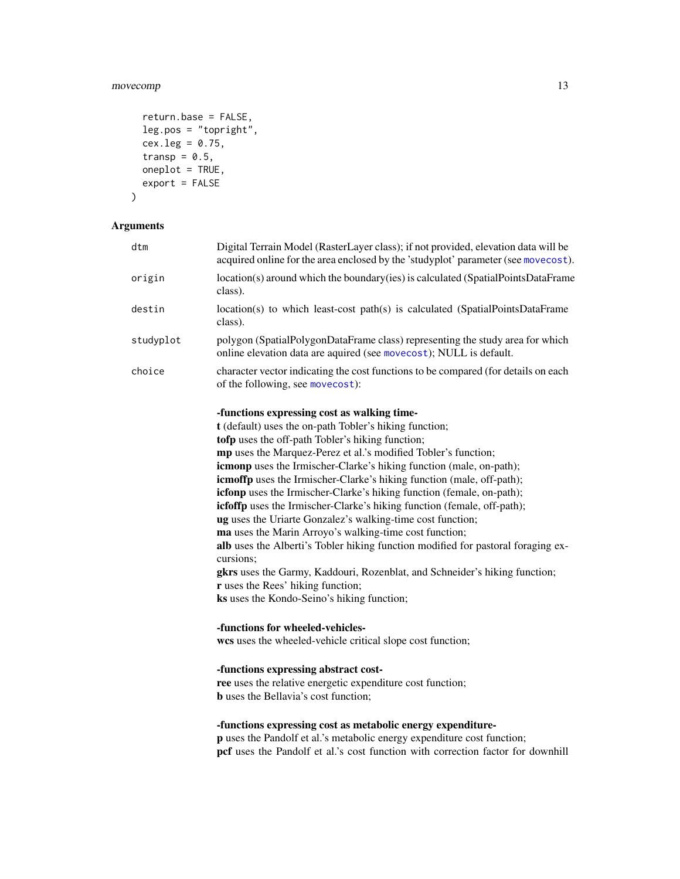## <span id="page-12-0"></span>movecomp 13

```
return.base = FALSE,
leg.pos = "topright",
cex.leg = 0.75,transp = 0.5,
oneplot = TRUE,export = FALSE
```
## Arguments

 $\mathcal{E}$ 

| dtm       | Digital Terrain Model (RasterLayer class); if not provided, elevation data will be<br>acquired online for the area enclosed by the 'studyplot' parameter (see movecost).                                                                                                                                                                                                                                                                                                                                                                                                                                                                                                                                                                                                                                                                                                                                                  |
|-----------|---------------------------------------------------------------------------------------------------------------------------------------------------------------------------------------------------------------------------------------------------------------------------------------------------------------------------------------------------------------------------------------------------------------------------------------------------------------------------------------------------------------------------------------------------------------------------------------------------------------------------------------------------------------------------------------------------------------------------------------------------------------------------------------------------------------------------------------------------------------------------------------------------------------------------|
| origin    | location(s) around which the boundary(ies) is calculated (SpatialPointsDataFrame<br>class).                                                                                                                                                                                                                                                                                                                                                                                                                                                                                                                                                                                                                                                                                                                                                                                                                               |
| destin    | location(s) to which least-cost path(s) is calculated (SpatialPointsDataFrame<br>class).                                                                                                                                                                                                                                                                                                                                                                                                                                                                                                                                                                                                                                                                                                                                                                                                                                  |
| studyplot | polygon (SpatialPolygonDataFrame class) representing the study area for which<br>online elevation data are aquired (see movecost); NULL is default.                                                                                                                                                                                                                                                                                                                                                                                                                                                                                                                                                                                                                                                                                                                                                                       |
| choice    | character vector indicating the cost functions to be compared (for details on each<br>of the following, see movecost):                                                                                                                                                                                                                                                                                                                                                                                                                                                                                                                                                                                                                                                                                                                                                                                                    |
|           | -functions expressing cost as walking time-<br>t (default) uses the on-path Tobler's hiking function;<br>tofp uses the off-path Tobler's hiking function;<br>mp uses the Marquez-Perez et al.'s modified Tobler's function;<br>icmonp uses the Irmischer-Clarke's hiking function (male, on-path);<br>icmoffp uses the Irmischer-Clarke's hiking function (male, off-path);<br>icfonp uses the Irmischer-Clarke's hiking function (female, on-path);<br>icfoffp uses the Irmischer-Clarke's hiking function (female, off-path);<br>ug uses the Uriarte Gonzalez's walking-time cost function;<br>ma uses the Marin Arroyo's walking-time cost function;<br>alb uses the Alberti's Tobler hiking function modified for pastoral foraging ex-<br>cursions;<br>gkrs uses the Garmy, Kaddouri, Rozenblat, and Schneider's hiking function;<br>r uses the Rees' hiking function;<br>ks uses the Kondo-Seino's hiking function; |
|           | -functions for wheeled-vehicles-<br>wcs uses the wheeled-vehicle critical slope cost function;                                                                                                                                                                                                                                                                                                                                                                                                                                                                                                                                                                                                                                                                                                                                                                                                                            |
|           | -functions expressing abstract cost-<br>ree uses the relative energetic expenditure cost function;<br><b>b</b> uses the Bellavia's cost function;                                                                                                                                                                                                                                                                                                                                                                                                                                                                                                                                                                                                                                                                                                                                                                         |

## -functions expressing cost as metabolic energy expenditure-

p uses the Pandolf et al.'s metabolic energy expenditure cost function; pcf uses the Pandolf et al.'s cost function with correction factor for downhill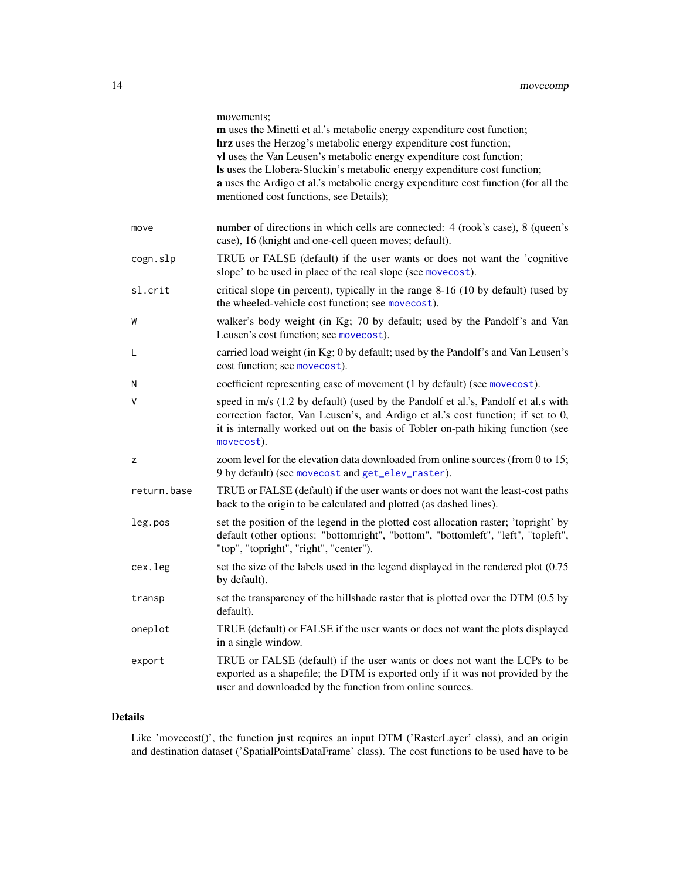<span id="page-13-0"></span>

|             | movements;<br>m uses the Minetti et al.'s metabolic energy expenditure cost function;<br>hrz uses the Herzog's metabolic energy expenditure cost function;<br>vl uses the Van Leusen's metabolic energy expenditure cost function;<br>Is uses the Llobera-Sluckin's metabolic energy expenditure cost function;<br>a uses the Ardigo et al.'s metabolic energy expenditure cost function (for all the<br>mentioned cost functions, see Details); |
|-------------|--------------------------------------------------------------------------------------------------------------------------------------------------------------------------------------------------------------------------------------------------------------------------------------------------------------------------------------------------------------------------------------------------------------------------------------------------|
| move        | number of directions in which cells are connected: 4 (rook's case), 8 (queen's<br>case), 16 (knight and one-cell queen moves; default).                                                                                                                                                                                                                                                                                                          |
| cogn.slp    | TRUE or FALSE (default) if the user wants or does not want the 'cognitive<br>slope' to be used in place of the real slope (see movecost).                                                                                                                                                                                                                                                                                                        |
| sl.crit     | critical slope (in percent), typically in the range 8-16 (10 by default) (used by<br>the wheeled-vehicle cost function; see movecost).                                                                                                                                                                                                                                                                                                           |
| W           | walker's body weight (in Kg; 70 by default; used by the Pandolf's and Van<br>Leusen's cost function; see movecost).                                                                                                                                                                                                                                                                                                                              |
| L           | carried load weight (in Kg; 0 by default; used by the Pandolf's and Van Leusen's<br>cost function; see movecost).                                                                                                                                                                                                                                                                                                                                |
| N           | coefficient representing ease of movement (1 by default) (see movecost).                                                                                                                                                                                                                                                                                                                                                                         |
| ٧           | speed in m/s (1.2 by default) (used by the Pandolf et al.'s, Pandolf et al.s with<br>correction factor, Van Leusen's, and Ardigo et al.'s cost function; if set to 0,<br>it is internally worked out on the basis of Tobler on-path hiking function (see<br>movecost).                                                                                                                                                                           |
| z           | zoom level for the elevation data downloaded from online sources (from 0 to 15;<br>9 by default) (see movecost and get_elev_raster).                                                                                                                                                                                                                                                                                                             |
| return.base | TRUE or FALSE (default) if the user wants or does not want the least-cost paths<br>back to the origin to be calculated and plotted (as dashed lines).                                                                                                                                                                                                                                                                                            |
| leg.pos     | set the position of the legend in the plotted cost allocation raster; 'topright' by<br>default (other options: "bottomright", "bottom", "bottomleft", "left", "topleft",<br>"top", "topright", "right", "center").                                                                                                                                                                                                                               |
| cex.leg     | set the size of the labels used in the legend displayed in the rendered plot (0.75)<br>by default).                                                                                                                                                                                                                                                                                                                                              |
| transp      | set the transparency of the hillshade raster that is plotted over the DTM (0.5 by<br>default).                                                                                                                                                                                                                                                                                                                                                   |
| oneplot     | TRUE (default) or FALSE if the user wants or does not want the plots displayed<br>in a single window.                                                                                                                                                                                                                                                                                                                                            |
| export      | TRUE or FALSE (default) if the user wants or does not want the LCPs to be<br>exported as a shapefile; the DTM is exported only if it was not provided by the<br>user and downloaded by the function from online sources.                                                                                                                                                                                                                         |

## Details

Like 'movecost()', the function just requires an input DTM ('RasterLayer' class), and an origin and destination dataset ('SpatialPointsDataFrame' class). The cost functions to be used have to be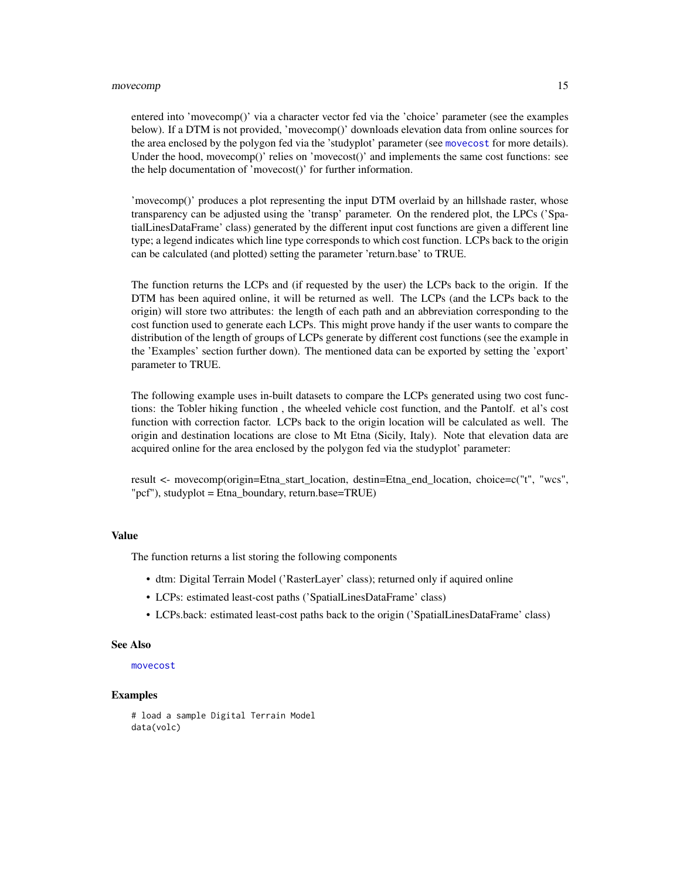### movecomp and the state of the state of the state of the state of the state of the state of the state of the state of the state of the state of the state of the state of the state of the state of the state of the state of t

entered into 'movecomp()' via a character vector fed via the 'choice' parameter (see the examples below). If a DTM is not provided, 'movecomp()' downloads elevation data from online sources for the area enclosed by the polygon fed via the 'studyplot' parameter (see [movecost](#page-20-1) for more details). Under the hood, movecomp()' relies on 'movecost()' and implements the same cost functions: see the help documentation of 'movecost()' for further information.

'movecomp()' produces a plot representing the input DTM overlaid by an hillshade raster, whose transparency can be adjusted using the 'transp' parameter. On the rendered plot, the LPCs ('SpatialLinesDataFrame' class) generated by the different input cost functions are given a different line type; a legend indicates which line type corresponds to which cost function. LCPs back to the origin can be calculated (and plotted) setting the parameter 'return.base' to TRUE.

The function returns the LCPs and (if requested by the user) the LCPs back to the origin. If the DTM has been aquired online, it will be returned as well. The LCPs (and the LCPs back to the origin) will store two attributes: the length of each path and an abbreviation corresponding to the cost function used to generate each LCPs. This might prove handy if the user wants to compare the distribution of the length of groups of LCPs generate by different cost functions (see the example in the 'Examples' section further down). The mentioned data can be exported by setting the 'export' parameter to TRUE.

The following example uses in-built datasets to compare the LCPs generated using two cost functions: the Tobler hiking function , the wheeled vehicle cost function, and the Pantolf. et al's cost function with correction factor. LCPs back to the origin location will be calculated as well. The origin and destination locations are close to Mt Etna (Sicily, Italy). Note that elevation data are acquired online for the area enclosed by the polygon fed via the studyplot' parameter:

result <- movecomp(origin=Etna\_start\_location, destin=Etna\_end\_location, choice=c("t", "wcs", "pcf"), studyplot = Etna\_boundary, return.base=TRUE)

### Value

The function returns a list storing the following components

- dtm: Digital Terrain Model ('RasterLayer' class); returned only if aquired online
- LCPs: estimated least-cost paths ('SpatialLinesDataFrame' class)
- LCPs.back: estimated least-cost paths back to the origin ('SpatialLinesDataFrame' class)

### See Also

## [movecost](#page-20-1)

### Examples

```
# load a sample Digital Terrain Model
data(volc)
```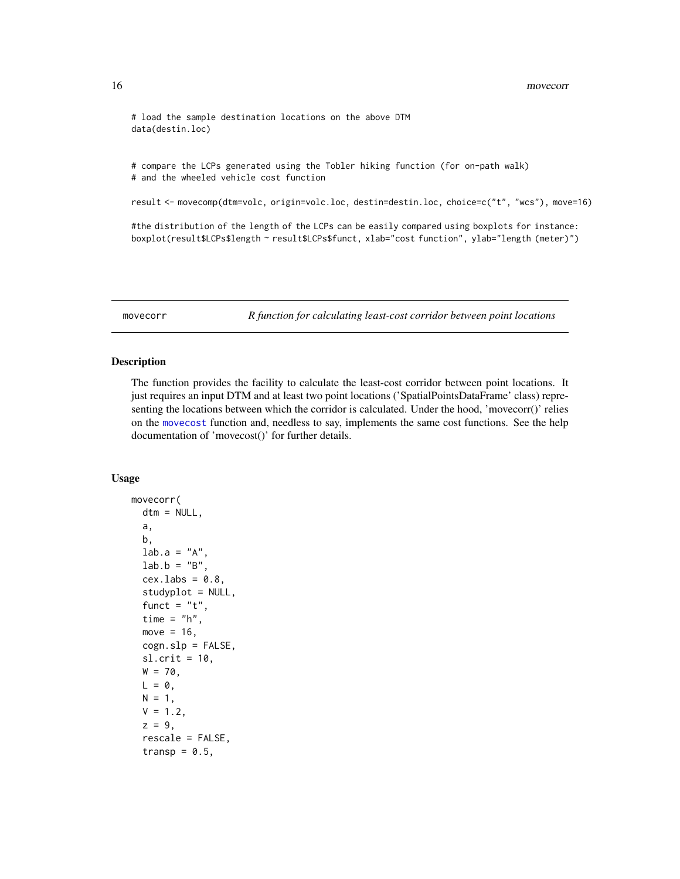```
# load the sample destination locations on the above DTM
data(destin.loc)
```
# compare the LCPs generated using the Tobler hiking function (for on-path walk) # and the wheeled vehicle cost function

result <- movecomp(dtm=volc, origin=volc.loc, destin=destin.loc, choice=c("t", "wcs"), move=16)

#the distribution of the length of the LCPs can be easily compared using boxplots for instance: boxplot(result\$LCPs\$length ~ result\$LCPs\$funct, xlab="cost function", ylab="length (meter)")

<span id="page-15-1"></span>movecorr *R function for calculating least-cost corridor between point locations*

### Description

The function provides the facility to calculate the least-cost corridor between point locations. It just requires an input DTM and at least two point locations ('SpatialPointsDataFrame' class) representing the locations between which the corridor is calculated. Under the hood, 'movecorr()' relies on the [movecost](#page-20-1) function and, needless to say, implements the same cost functions. See the help documentation of 'movecost()' for further details.

### Usage

```
movecorr(
  dtm = NULL,
  a,
 b,
  lab.a = "A",lab.b = "B",cex.labs = 0.8,
  studyplot = NULL,
  funct = "t",
  time = "h",
  move = 16,
  cogn.slp = FALSE,
  sl. crit = 10,
 W = 70,
 L = 0,
 N = 1,
 V = 1.2,
  z = 9,
  rescale = FALSE,
  transp = 0.5,
```
<span id="page-15-0"></span>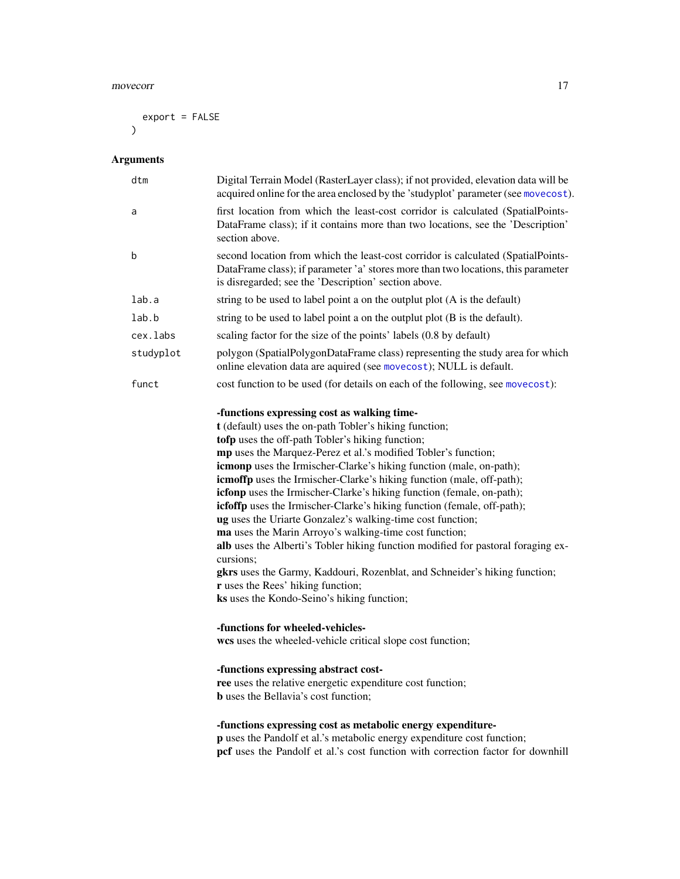### movecorr and the contract of the contract of the contract of the contract of the contract of the contract of the contract of the contract of the contract of the contract of the contract of the contract of the contract of t

export = FALSE  $\overline{)}$ 

## Arguments

| dtm       | Digital Terrain Model (RasterLayer class); if not provided, elevation data will be<br>acquired online for the area enclosed by the 'studyplot' parameter (see movecost).                                                                                                                                                                                                                                                                                                                                                                                                                                                                                                                                                                                                                                                                                                                                                         |
|-----------|----------------------------------------------------------------------------------------------------------------------------------------------------------------------------------------------------------------------------------------------------------------------------------------------------------------------------------------------------------------------------------------------------------------------------------------------------------------------------------------------------------------------------------------------------------------------------------------------------------------------------------------------------------------------------------------------------------------------------------------------------------------------------------------------------------------------------------------------------------------------------------------------------------------------------------|
| a         | first location from which the least-cost corridor is calculated (SpatialPoints-<br>DataFrame class); if it contains more than two locations, see the 'Description'<br>section above.                                                                                                                                                                                                                                                                                                                                                                                                                                                                                                                                                                                                                                                                                                                                             |
| b         | second location from which the least-cost corridor is calculated (SpatialPoints-<br>DataFrame class); if parameter 'a' stores more than two locations, this parameter<br>is disregarded; see the 'Description' section above.                                                                                                                                                                                                                                                                                                                                                                                                                                                                                                                                                                                                                                                                                                    |
| lab.a     | string to be used to label point a on the outplut plot (A is the default)                                                                                                                                                                                                                                                                                                                                                                                                                                                                                                                                                                                                                                                                                                                                                                                                                                                        |
| lab.b     | string to be used to label point a on the outplut plot (B is the default).                                                                                                                                                                                                                                                                                                                                                                                                                                                                                                                                                                                                                                                                                                                                                                                                                                                       |
| cex.labs  | scaling factor for the size of the points' labels (0.8 by default)                                                                                                                                                                                                                                                                                                                                                                                                                                                                                                                                                                                                                                                                                                                                                                                                                                                               |
| studyplot | polygon (SpatialPolygonDataFrame class) representing the study area for which<br>online elevation data are aquired (see movecost); NULL is default.                                                                                                                                                                                                                                                                                                                                                                                                                                                                                                                                                                                                                                                                                                                                                                              |
| funct     | cost function to be used (for details on each of the following, see movecost):                                                                                                                                                                                                                                                                                                                                                                                                                                                                                                                                                                                                                                                                                                                                                                                                                                                   |
|           | -functions expressing cost as walking time-<br>t (default) uses the on-path Tobler's hiking function;<br>tofp uses the off-path Tobler's hiking function;<br>mp uses the Marquez-Perez et al.'s modified Tobler's function;<br><b>icmonp</b> uses the Irmischer-Clarke's hiking function (male, on-path);<br>icmoffp uses the Irmischer-Clarke's hiking function (male, off-path);<br>icfonp uses the Irmischer-Clarke's hiking function (female, on-path);<br>icfoffp uses the Irmischer-Clarke's hiking function (female, off-path);<br>ug uses the Uriarte Gonzalez's walking-time cost function;<br>ma uses the Marin Arroyo's walking-time cost function;<br>alb uses the Alberti's Tobler hiking function modified for pastoral foraging ex-<br>cursions;<br>gkrs uses the Garmy, Kaddouri, Rozenblat, and Schneider's hiking function;<br>r uses the Rees' hiking function;<br>ks uses the Kondo-Seino's hiking function; |
|           | -functions for wheeled-vehicles-<br>wcs uses the wheeled-vehicle critical slope cost function;                                                                                                                                                                                                                                                                                                                                                                                                                                                                                                                                                                                                                                                                                                                                                                                                                                   |
|           | -functions expressing abstract cost-<br>ree uses the relative energetic expenditure cost function;<br><b>b</b> uses the Bellavia's cost function;                                                                                                                                                                                                                                                                                                                                                                                                                                                                                                                                                                                                                                                                                                                                                                                |
|           | -functions expressing cost as metabolic energy expenditure-<br>p uses the Pandolf et al.'s metabolic energy expenditure cost function;<br>pcf uses the Pandolf et al.'s cost function with correction factor for downhill                                                                                                                                                                                                                                                                                                                                                                                                                                                                                                                                                                                                                                                                                                        |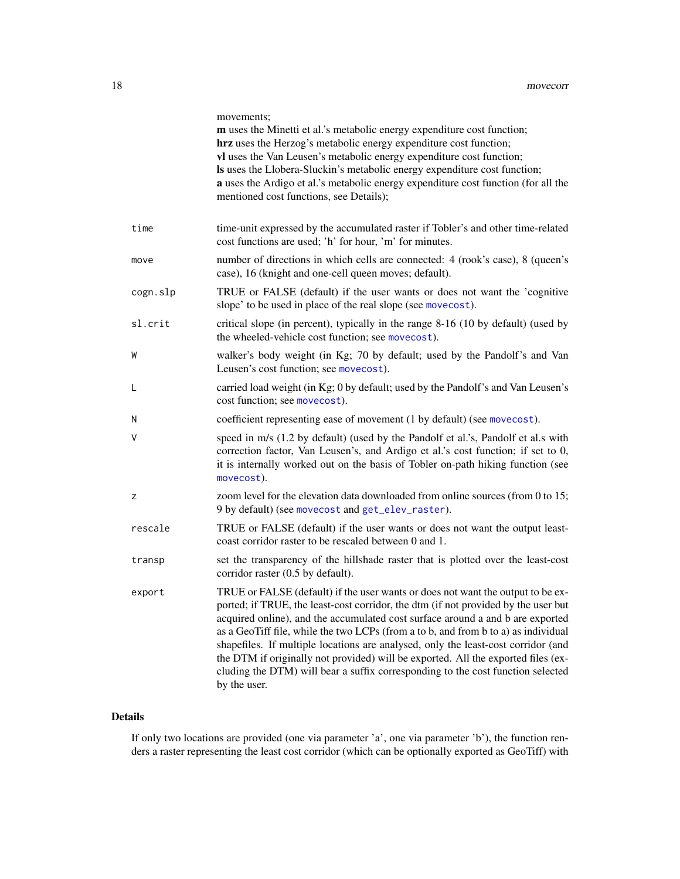<span id="page-17-0"></span>

|          | movements;<br>m uses the Minetti et al.'s metabolic energy expenditure cost function;<br>hrz uses the Herzog's metabolic energy expenditure cost function;<br>vl uses the Van Leusen's metabolic energy expenditure cost function;<br>Is uses the Llobera-Sluckin's metabolic energy expenditure cost function;<br>a uses the Ardigo et al.'s metabolic energy expenditure cost function (for all the<br>mentioned cost functions, see Details);                                                                                                                                                                           |
|----------|----------------------------------------------------------------------------------------------------------------------------------------------------------------------------------------------------------------------------------------------------------------------------------------------------------------------------------------------------------------------------------------------------------------------------------------------------------------------------------------------------------------------------------------------------------------------------------------------------------------------------|
| time     | time-unit expressed by the accumulated raster if Tobler's and other time-related<br>cost functions are used; 'h' for hour, 'm' for minutes.                                                                                                                                                                                                                                                                                                                                                                                                                                                                                |
| move     | number of directions in which cells are connected: 4 (rook's case), 8 (queen's<br>case), 16 (knight and one-cell queen moves; default).                                                                                                                                                                                                                                                                                                                                                                                                                                                                                    |
| cogn.slp | TRUE or FALSE (default) if the user wants or does not want the 'cognitive<br>slope' to be used in place of the real slope (see movecost).                                                                                                                                                                                                                                                                                                                                                                                                                                                                                  |
| sl.crit  | critical slope (in percent), typically in the range 8-16 (10 by default) (used by<br>the wheeled-vehicle cost function; see movecost).                                                                                                                                                                                                                                                                                                                                                                                                                                                                                     |
| W        | walker's body weight (in Kg; 70 by default; used by the Pandolf's and Van<br>Leusen's cost function; see movecost).                                                                                                                                                                                                                                                                                                                                                                                                                                                                                                        |
| L        | carried load weight (in Kg; 0 by default; used by the Pandolf's and Van Leusen's<br>cost function; see movecost).                                                                                                                                                                                                                                                                                                                                                                                                                                                                                                          |
| N        | coefficient representing ease of movement (1 by default) (see movecost).                                                                                                                                                                                                                                                                                                                                                                                                                                                                                                                                                   |
| V        | speed in m/s (1.2 by default) (used by the Pandolf et al.'s, Pandolf et al.s with<br>correction factor, Van Leusen's, and Ardigo et al.'s cost function; if set to 0,<br>it is internally worked out on the basis of Tobler on-path hiking function (see<br>movecost).                                                                                                                                                                                                                                                                                                                                                     |
| z        | zoom level for the elevation data downloaded from online sources (from 0 to 15;<br>9 by default) (see movecost and get_elev_raster).                                                                                                                                                                                                                                                                                                                                                                                                                                                                                       |
| rescale  | TRUE or FALSE (default) if the user wants or does not want the output least-<br>coast corridor raster to be rescaled between 0 and 1.                                                                                                                                                                                                                                                                                                                                                                                                                                                                                      |
| transp   | set the transparency of the hillshade raster that is plotted over the least-cost<br>corridor raster (0.5 by default).                                                                                                                                                                                                                                                                                                                                                                                                                                                                                                      |
| export   | TRUE or FALSE (default) if the user wants or does not want the output to be ex-<br>ported; if TRUE, the least-cost corridor, the dtm (if not provided by the user but<br>acquired online), and the accumulated cost surface around a and b are exported<br>as a GeoTiff file, while the two LCPs (from a to b, and from b to a) as individual<br>shapefiles. If multiple locations are analysed, only the least-cost corridor (and<br>the DTM if originally not provided) will be exported. All the exported files (ex-<br>cluding the DTM) will bear a suffix corresponding to the cost function selected<br>by the user. |

## Details

If only two locations are provided (one via parameter 'a', one via parameter 'b'), the function renders a raster representing the least cost corridor (which can be optionally exported as GeoTiff) with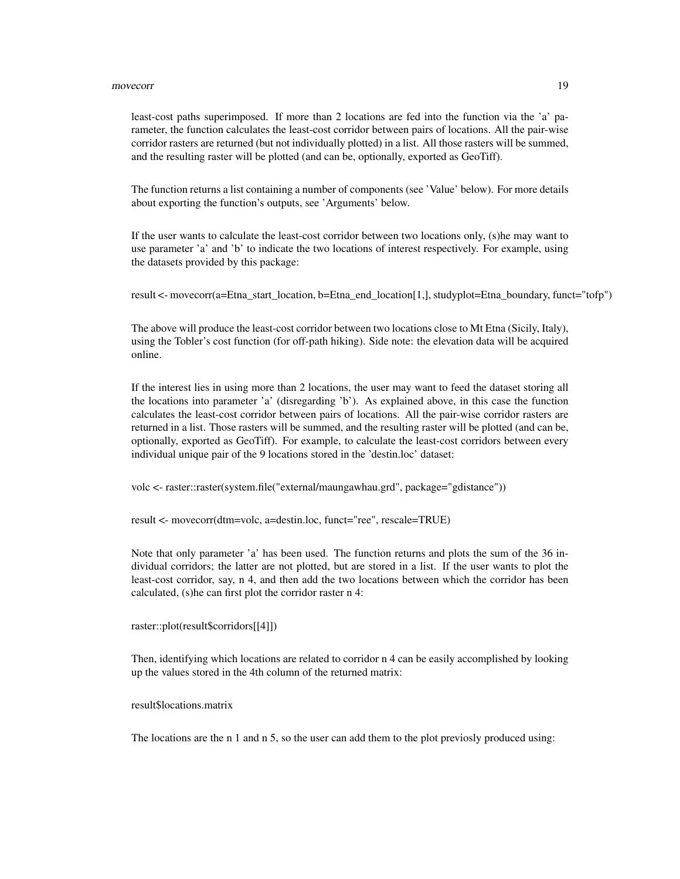### movecorr and the contract of the contract of the contract of the contract of the contract of the contract of the contract of the contract of the contract of the contract of the contract of the contract of the contract of t

least-cost paths superimposed. If more than 2 locations are fed into the function via the 'a' parameter, the function calculates the least-cost corridor between pairs of locations. All the pair-wise corridor rasters are returned (but not individually plotted) in a list. All those rasters will be summed, and the resulting raster will be plotted (and can be, optionally, exported as GeoTiff).

The function returns a list containing a number of components (see 'Value' below). For more details about exporting the function's outputs, see 'Arguments' below.

If the user wants to calculate the least-cost corridor between two locations only, (s)he may want to use parameter 'a' and 'b' to indicate the two locations of interest respectively. For example, using the datasets provided by this package:

result  $\leq$ - movecorr(a=Etna start location, b=Etna end location[1,], studyplot=Etna boundary, funct="tofp")

The above will produce the least-cost corridor between two locations close to Mt Etna (Sicily, Italy), using the Tobler's cost function (for off-path hiking). Side note: the elevation data will be acquired online.

If the interest lies in using more than 2 locations, the user may want to feed the dataset storing all the locations into parameter 'a' (disregarding 'b'). As explained above, in this case the function calculates the least-cost corridor between pairs of locations. All the pair-wise corridor rasters are returned in a list. Those rasters will be summed, and the resulting raster will be plotted (and can be, optionally, exported as GeoTiff). For example, to calculate the least-cost corridors between every individual unique pair of the 9 locations stored in the 'destin.loc' dataset:

volc <- raster::raster(system.file("external/maungawhau.grd", package="gdistance"))

result <- movecorr(dtm=volc, a=destin.loc, funct="ree", rescale=TRUE)

Note that only parameter 'a' has been used. The function returns and plots the sum of the 36 individual corridors; the latter are not plotted, but are stored in a list. If the user wants to plot the least-cost corridor, say, n 4, and then add the two locations between which the corridor has been calculated, (s)he can first plot the corridor raster n 4:

raster::plot(result\$corridors[[4]])

Then, identifying which locations are related to corridor n 4 can be easily accomplished by looking up the values stored in the 4th column of the returned matrix:

result\$locations.matrix

The locations are the n 1 and n 5, so the user can add them to the plot previosly produced using: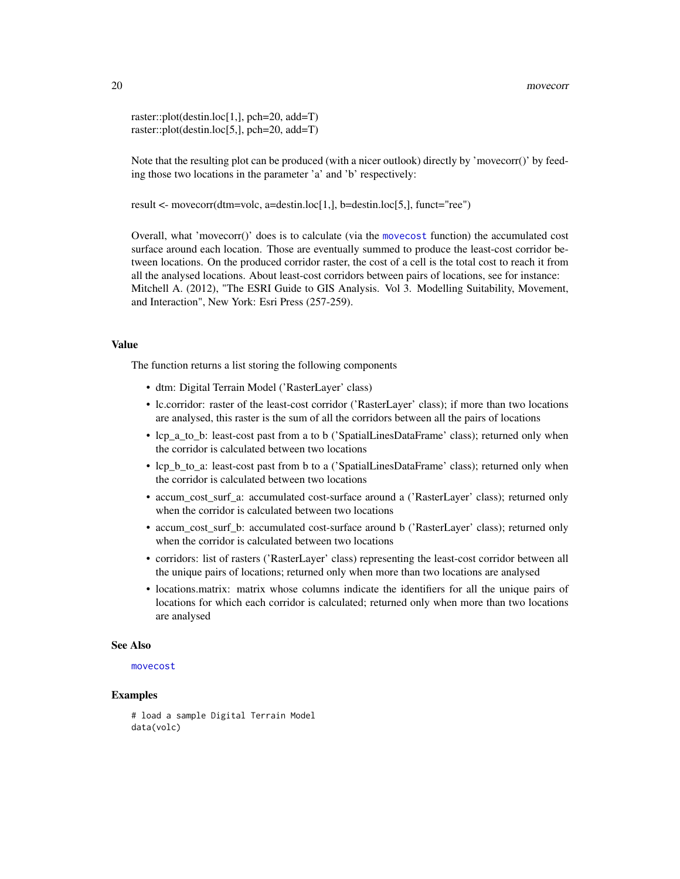<span id="page-19-0"></span>raster::plot(destin.loc[1,], pch=20, add=T) raster::plot(destin.loc[5,], pch=20, add=T)

Note that the resulting plot can be produced (with a nicer outlook) directly by 'movecorr()' by feeding those two locations in the parameter 'a' and 'b' respectively:

result <- movecorr(dtm=volc, a=destin.loc[1,], b=destin.loc[5,], funct="ree")

Overall, what 'movecorr()' does is to calculate (via the [movecost](#page-20-1) function) the accumulated cost surface around each location. Those are eventually summed to produce the least-cost corridor between locations. On the produced corridor raster, the cost of a cell is the total cost to reach it from all the analysed locations. About least-cost corridors between pairs of locations, see for instance: Mitchell A. (2012), "The ESRI Guide to GIS Analysis. Vol 3. Modelling Suitability, Movement, and Interaction", New York: Esri Press (257-259).

### Value

The function returns a list storing the following components

- dtm: Digital Terrain Model ('RasterLayer' class)
- lc.corridor: raster of the least-cost corridor ('RasterLayer' class); if more than two locations are analysed, this raster is the sum of all the corridors between all the pairs of locations
- lcp\_a\_to\_b: least-cost past from a to b ('SpatialLinesDataFrame' class); returned only when the corridor is calculated between two locations
- lcp\_b\_to\_a: least-cost past from b to a ('SpatialLinesDataFrame' class); returned only when the corridor is calculated between two locations
- accum\_cost\_surf\_a: accumulated cost-surface around a ('RasterLayer' class); returned only when the corridor is calculated between two locations
- accum cost surf b: accumulated cost-surface around b ('RasterLayer' class); returned only when the corridor is calculated between two locations
- corridors: list of rasters ('RasterLayer' class) representing the least-cost corridor between all the unique pairs of locations; returned only when more than two locations are analysed
- locations.matrix: matrix whose columns indicate the identifiers for all the unique pairs of locations for which each corridor is calculated; returned only when more than two locations are analysed

### See Also

### [movecost](#page-20-1)

## Examples

```
# load a sample Digital Terrain Model
data(volc)
```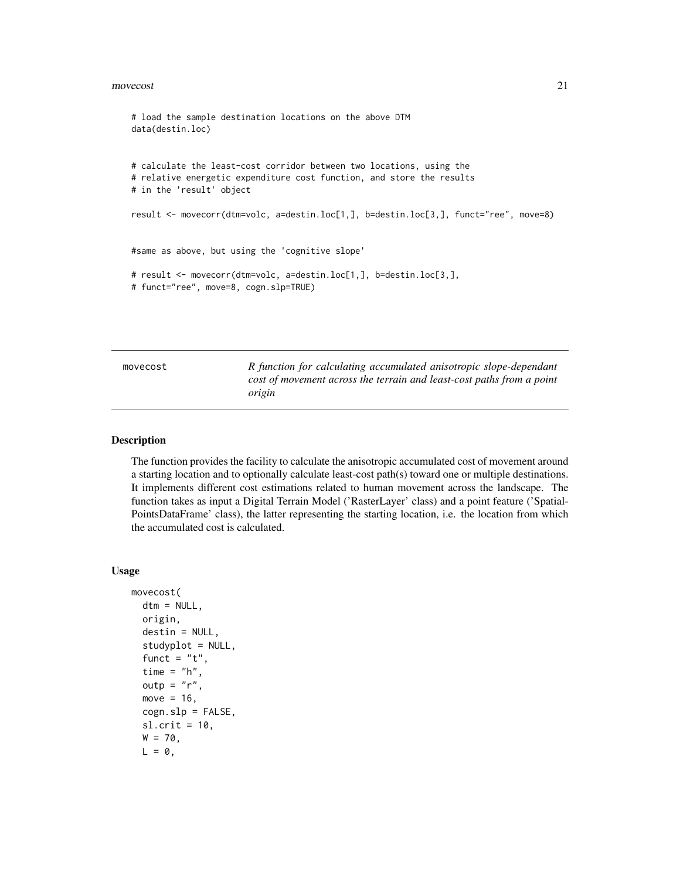### <span id="page-20-0"></span>movecost 21

```
# load the sample destination locations on the above DTM
data(destin.loc)
# calculate the least-cost corridor between two locations, using the
# relative energetic expenditure cost function, and store the results
# in the 'result' object
result <- movecorr(dtm=volc, a=destin.loc[1,], b=destin.loc[3,], funct="ree", move=8)
#same as above, but using the 'cognitive slope'
# result <- movecorr(dtm=volc, a=destin.loc[1,], b=destin.loc[3,],
# funct="ree", move=8, cogn.slp=TRUE)
```
<span id="page-20-1"></span>movecost *R function for calculating accumulated anisotropic slope-dependant cost of movement across the terrain and least-cost paths from a point origin*

## **Description**

The function provides the facility to calculate the anisotropic accumulated cost of movement around a starting location and to optionally calculate least-cost path(s) toward one or multiple destinations. It implements different cost estimations related to human movement across the landscape. The function takes as input a Digital Terrain Model ('RasterLayer' class) and a point feature ('Spatial-PointsDataFrame' class), the latter representing the starting location, i.e. the location from which the accumulated cost is calculated.

### Usage

```
movecost(
  dtm = NULL,
  origin,
  destin = NULL,
  studyplot = NULL,
  funct = "t",time = "h",
  outp = "r",move = 16,
  cogn.slp = FALSE,sl. crit = 10,
  W = 70,L = 0,
```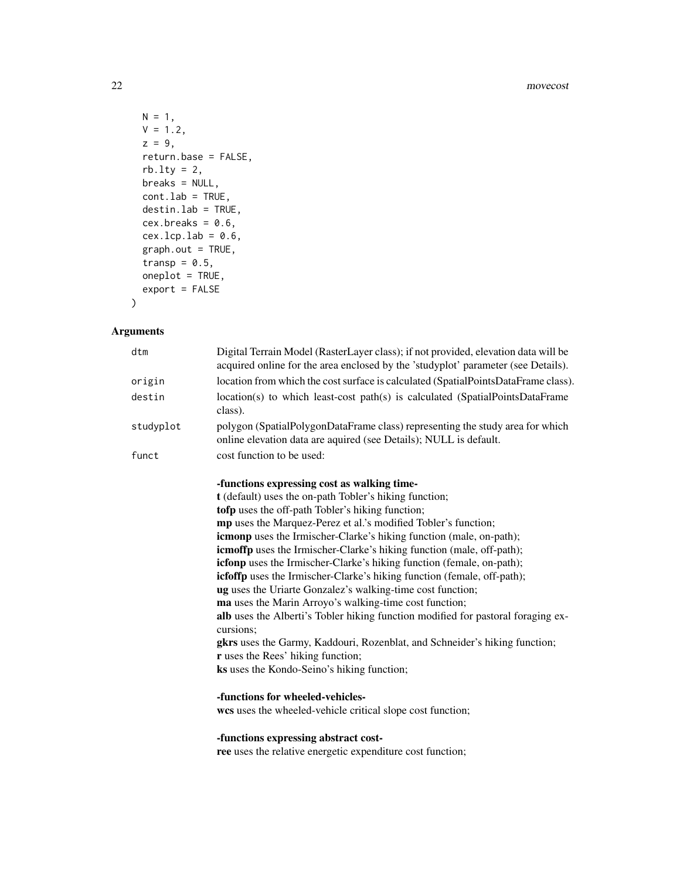### 22 movecost and the state of the state of the state of the state of the state of the state of the state of the state of the state of the state of the state of the state of the state of the state of the state of the state o

```
N = 1,V = 1.2,
z = 9,
return.base = FALSE,
rb.lty = 2,
breaks = NULL,
cont.lab = TRUE,destin.lab = TRUE,
cex.breaks = 0.6,cex.lcp.lab = 0.6,
graph.out = TRUE,transp = 0.5,
oneplot = TRUE,
export = FALSE
```
## $\mathcal{L}$

## Arguments

| dtm       | Digital Terrain Model (RasterLayer class); if not provided, elevation data will be<br>acquired online for the area enclosed by the 'studyplot' parameter (see Details). |
|-----------|-------------------------------------------------------------------------------------------------------------------------------------------------------------------------|
| origin    | location from which the cost surface is calculated (SpatialPointsDataFrame class).                                                                                      |
| destin    | location(s) to which least-cost path(s) is calculated (SpatialPointsDataFrame<br>class).                                                                                |
| studyplot | polygon (SpatialPolygonDataFrame class) representing the study area for which<br>online elevation data are aquired (see Details); NULL is default.                      |
| funct     | cost function to be used:                                                                                                                                               |
|           | -functions expressing cost as walking time-                                                                                                                             |
|           | t (default) uses the on-path Tobler's hiking function;                                                                                                                  |
|           | tofp uses the off-path Tobler's hiking function;                                                                                                                        |
|           | mp uses the Marquez-Perez et al.'s modified Tobler's function;                                                                                                          |
|           | <b>icmonp</b> uses the Irmischer-Clarke's hiking function (male, on-path);                                                                                              |
|           | <b>icmoffp</b> uses the Irmischer-Clarke's hiking function (male, off-path);                                                                                            |
|           | icfonp uses the Irmischer-Clarke's hiking function (female, on-path);                                                                                                   |
|           | icfoffp uses the Irmischer-Clarke's hiking function (female, off-path);                                                                                                 |
|           | ug uses the Uriarte Gonzalez's walking-time cost function;                                                                                                              |
|           | ma uses the Marin Arroyo's walking-time cost function;                                                                                                                  |
|           | alb uses the Alberti's Tobler hiking function modified for pastoral foraging ex-<br>cursions:                                                                           |
|           | gkrs uses the Garmy, Kaddouri, Rozenblat, and Schneider's hiking function;                                                                                              |
|           | r uses the Rees' hiking function;                                                                                                                                       |
|           | ks uses the Kondo-Seino's hiking function;                                                                                                                              |
|           | -functions for wheeled-vehicles-                                                                                                                                        |
|           | wcs uses the wheeled-vehicle critical slope cost function;                                                                                                              |
|           | -functions expressing abstract cost-                                                                                                                                    |
|           | ree uses the relative energetic expenditure cost function;                                                                                                              |
|           |                                                                                                                                                                         |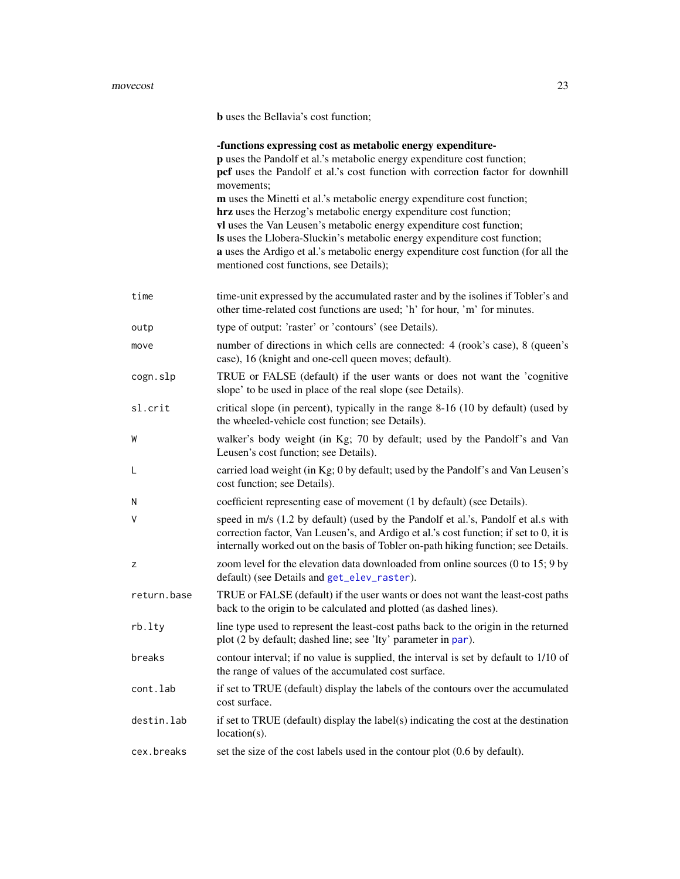### <span id="page-22-0"></span>movecost 23

b uses the Bellavia's cost function;

|             | -functions expressing cost as metabolic energy expenditure-<br>p uses the Pandolf et al.'s metabolic energy expenditure cost function;<br>pcf uses the Pandolf et al.'s cost function with correction factor for downhill<br>movements;<br>m uses the Minetti et al.'s metabolic energy expenditure cost function;<br>hrz uses the Herzog's metabolic energy expenditure cost function;<br>vl uses the Van Leusen's metabolic energy expenditure cost function;<br>Is uses the Llobera-Sluckin's metabolic energy expenditure cost function;<br>a uses the Ardigo et al.'s metabolic energy expenditure cost function (for all the<br>mentioned cost functions, see Details); |
|-------------|-------------------------------------------------------------------------------------------------------------------------------------------------------------------------------------------------------------------------------------------------------------------------------------------------------------------------------------------------------------------------------------------------------------------------------------------------------------------------------------------------------------------------------------------------------------------------------------------------------------------------------------------------------------------------------|
| time        | time-unit expressed by the accumulated raster and by the isolines if Tobler's and<br>other time-related cost functions are used; 'h' for hour, 'm' for minutes.                                                                                                                                                                                                                                                                                                                                                                                                                                                                                                               |
| outp        | type of output: 'raster' or 'contours' (see Details).                                                                                                                                                                                                                                                                                                                                                                                                                                                                                                                                                                                                                         |
| move        | number of directions in which cells are connected: 4 (rook's case), 8 (queen's<br>case), 16 (knight and one-cell queen moves; default).                                                                                                                                                                                                                                                                                                                                                                                                                                                                                                                                       |
| cogn.slp    | TRUE or FALSE (default) if the user wants or does not want the 'cognitive<br>slope' to be used in place of the real slope (see Details).                                                                                                                                                                                                                                                                                                                                                                                                                                                                                                                                      |
| sl.crit     | critical slope (in percent), typically in the range 8-16 (10 by default) (used by<br>the wheeled-vehicle cost function; see Details).                                                                                                                                                                                                                                                                                                                                                                                                                                                                                                                                         |
| W           | walker's body weight (in Kg; 70 by default; used by the Pandolf's and Van<br>Leusen's cost function; see Details).                                                                                                                                                                                                                                                                                                                                                                                                                                                                                                                                                            |
| L           | carried load weight (in Kg; 0 by default; used by the Pandolf's and Van Leusen's<br>cost function; see Details).                                                                                                                                                                                                                                                                                                                                                                                                                                                                                                                                                              |
| N           | coefficient representing ease of movement (1 by default) (see Details).                                                                                                                                                                                                                                                                                                                                                                                                                                                                                                                                                                                                       |
| V           | speed in m/s (1.2 by default) (used by the Pandolf et al.'s, Pandolf et al.s with<br>correction factor, Van Leusen's, and Ardigo et al.'s cost function; if set to 0, it is<br>internally worked out on the basis of Tobler on-path hiking function; see Details.                                                                                                                                                                                                                                                                                                                                                                                                             |
| z           | zoom level for the elevation data downloaded from online sources (0 to 15; 9 by<br>default) (see Details and get_elev_raster).                                                                                                                                                                                                                                                                                                                                                                                                                                                                                                                                                |
| return.base | TRUE or FALSE (default) if the user wants or does not want the least-cost paths<br>back to the origin to be calculated and plotted (as dashed lines).                                                                                                                                                                                                                                                                                                                                                                                                                                                                                                                         |
| rb.lty      | line type used to represent the least-cost paths back to the origin in the returned<br>plot (2 by default; dashed line; see 'lty' parameter in par).                                                                                                                                                                                                                                                                                                                                                                                                                                                                                                                          |
| breaks      | contour interval; if no value is supplied, the interval is set by default to 1/10 of<br>the range of values of the accumulated cost surface.                                                                                                                                                                                                                                                                                                                                                                                                                                                                                                                                  |
| cont.lab    | if set to TRUE (default) display the labels of the contours over the accumulated<br>cost surface.                                                                                                                                                                                                                                                                                                                                                                                                                                                                                                                                                                             |
| destin.lab  | if set to TRUE (default) display the label(s) indicating the cost at the destination<br>$location(s)$ .                                                                                                                                                                                                                                                                                                                                                                                                                                                                                                                                                                       |
| cex.breaks  | set the size of the cost labels used in the contour plot (0.6 by default).                                                                                                                                                                                                                                                                                                                                                                                                                                                                                                                                                                                                    |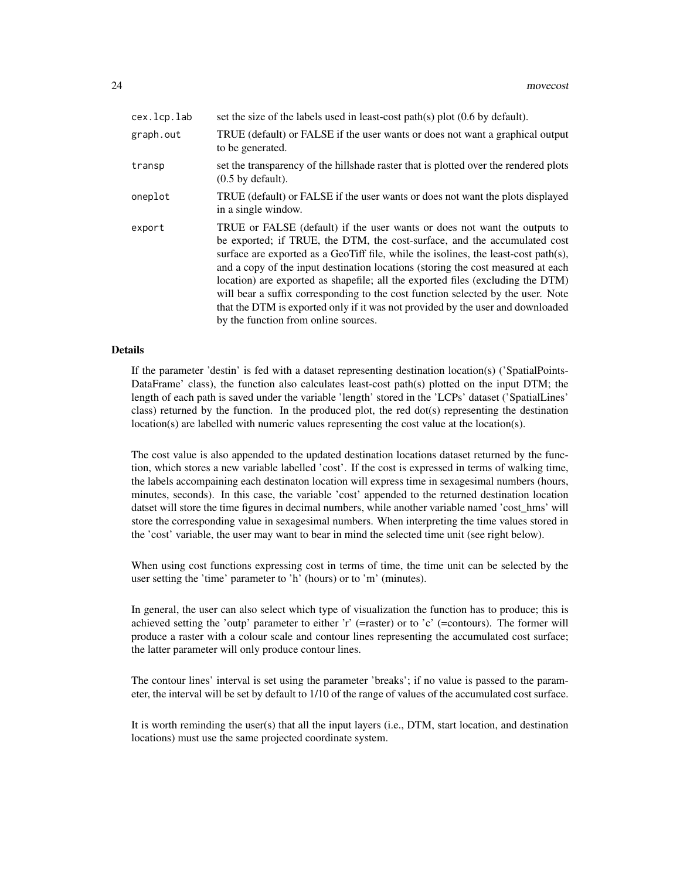| cex.lcp.lab | set the size of the labels used in least-cost path(s) plot $(0.6$ by default).                                                                                                                                                                                                                                                                                                                                                                                                                                                                                                                                                          |
|-------------|-----------------------------------------------------------------------------------------------------------------------------------------------------------------------------------------------------------------------------------------------------------------------------------------------------------------------------------------------------------------------------------------------------------------------------------------------------------------------------------------------------------------------------------------------------------------------------------------------------------------------------------------|
| graph.out   | TRUE (default) or FALSE if the user wants or does not want a graphical output<br>to be generated.                                                                                                                                                                                                                                                                                                                                                                                                                                                                                                                                       |
| transp      | set the transparency of the hillshade raster that is plotted over the rendered plots<br>$(0.5$ by default).                                                                                                                                                                                                                                                                                                                                                                                                                                                                                                                             |
| oneplot     | TRUE (default) or FALSE if the user wants or does not want the plots displayed<br>in a single window.                                                                                                                                                                                                                                                                                                                                                                                                                                                                                                                                   |
| export      | TRUE or FALSE (default) if the user wants or does not want the outputs to<br>be exported; if TRUE, the DTM, the cost-surface, and the accumulated cost<br>surface are exported as a GeoTiff file, while the isolines, the least-cost path $(s)$ ,<br>and a copy of the input destination locations (storing the cost measured at each<br>location) are exported as shapefile; all the exported files (excluding the DTM)<br>will bear a suffix corresponding to the cost function selected by the user. Note<br>that the DTM is exported only if it was not provided by the user and downloaded<br>by the function from online sources. |

## Details

If the parameter 'destin' is fed with a dataset representing destination location(s) ('SpatialPoints-DataFrame' class), the function also calculates least-cost path(s) plotted on the input DTM; the length of each path is saved under the variable 'length' stored in the 'LCPs' dataset ('SpatialLines' class) returned by the function. In the produced plot, the red dot(s) representing the destination location(s) are labelled with numeric values representing the cost value at the location(s).

The cost value is also appended to the updated destination locations dataset returned by the function, which stores a new variable labelled 'cost'. If the cost is expressed in terms of walking time, the labels accompaining each destinaton location will express time in sexagesimal numbers (hours, minutes, seconds). In this case, the variable 'cost' appended to the returned destination location datset will store the time figures in decimal numbers, while another variable named 'cost\_hms' will store the corresponding value in sexagesimal numbers. When interpreting the time values stored in the 'cost' variable, the user may want to bear in mind the selected time unit (see right below).

When using cost functions expressing cost in terms of time, the time unit can be selected by the user setting the 'time' parameter to 'h' (hours) or to 'm' (minutes).

In general, the user can also select which type of visualization the function has to produce; this is achieved setting the 'outp' parameter to either 'r' (=raster) or to 'c' (=contours). The former will produce a raster with a colour scale and contour lines representing the accumulated cost surface; the latter parameter will only produce contour lines.

The contour lines' interval is set using the parameter 'breaks'; if no value is passed to the parameter, the interval will be set by default to 1/10 of the range of values of the accumulated cost surface.

It is worth reminding the user(s) that all the input layers (i.e., DTM, start location, and destination locations) must use the same projected coordinate system.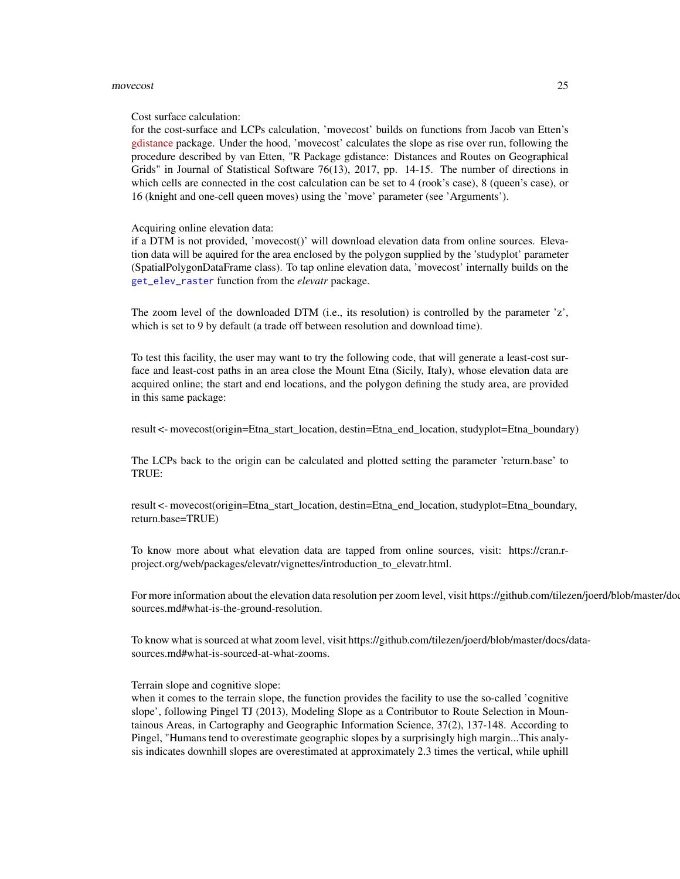### <span id="page-24-0"></span>movecost 25

### Cost surface calculation:

for the cost-surface and LCPs calculation, 'movecost' builds on functions from Jacob van Etten's [gdistance](https://cran.r-project.org/package=gdistance) package. Under the hood, 'movecost' calculates the slope as rise over run, following the procedure described by van Etten, "R Package gdistance: Distances and Routes on Geographical Grids" in Journal of Statistical Software 76(13), 2017, pp. 14-15. The number of directions in which cells are connected in the cost calculation can be set to 4 (rook's case), 8 (queen's case), or 16 (knight and one-cell queen moves) using the 'move' parameter (see 'Arguments').

Acquiring online elevation data:

if a DTM is not provided, 'movecost()' will download elevation data from online sources. Elevation data will be aquired for the area enclosed by the polygon supplied by the 'studyplot' parameter (SpatialPolygonDataFrame class). To tap online elevation data, 'movecost' internally builds on the [get\\_elev\\_raster](#page-0-0) function from the *elevatr* package.

The zoom level of the downloaded DTM (i.e., its resolution) is controlled by the parameter 'z', which is set to 9 by default (a trade off between resolution and download time).

To test this facility, the user may want to try the following code, that will generate a least-cost surface and least-cost paths in an area close the Mount Etna (Sicily, Italy), whose elevation data are acquired online; the start and end locations, and the polygon defining the study area, are provided in this same package:

result <- movecost(origin=Etna\_start\_location, destin=Etna\_end\_location, studyplot=Etna\_boundary)

The LCPs back to the origin can be calculated and plotted setting the parameter 'return.base' to TRUE:

result <- movecost(origin=Etna\_start\_location, destin=Etna\_end\_location, studyplot=Etna\_boundary, return.base=TRUE)

To know more about what elevation data are tapped from online sources, visit: https://cran.rproject.org/web/packages/elevatr/vignettes/introduction\_to\_elevatr.html.

For more information about the elevation data resolution per zoom level, visit https://github.com/tilezen/joerd/blob/master/do sources.md#what-is-the-ground-resolution.

To know what is sourced at what zoom level, visit https://github.com/tilezen/joerd/blob/master/docs/datasources.md#what-is-sourced-at-what-zooms.

Terrain slope and cognitive slope:

when it comes to the terrain slope, the function provides the facility to use the so-called 'cognitive slope', following Pingel TJ (2013), Modeling Slope as a Contributor to Route Selection in Mountainous Areas, in Cartography and Geographic Information Science, 37(2), 137-148. According to Pingel, "Humans tend to overestimate geographic slopes by a surprisingly high margin...This analysis indicates downhill slopes are overestimated at approximately 2.3 times the vertical, while uphill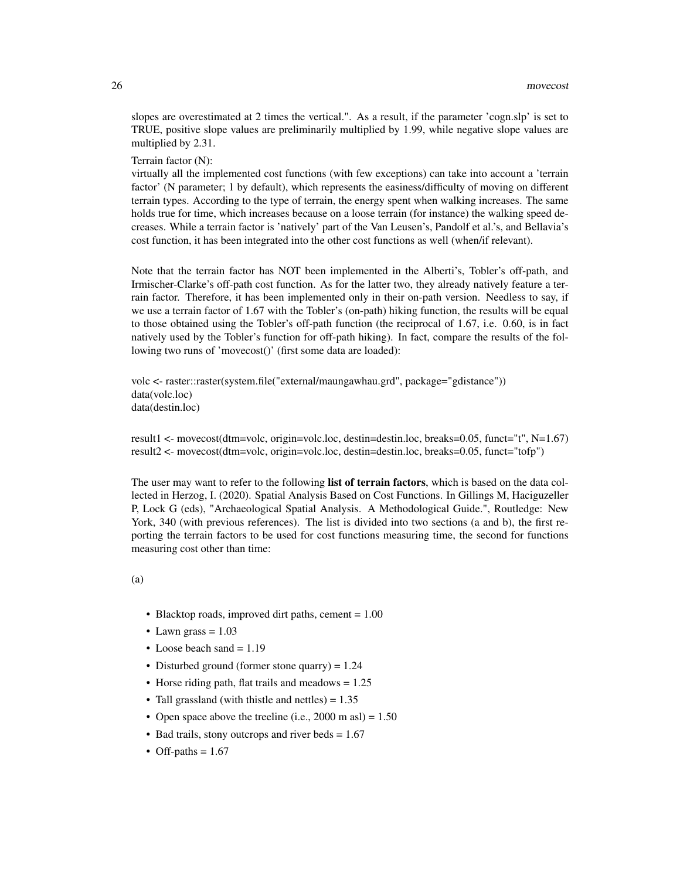slopes are overestimated at 2 times the vertical.". As a result, if the parameter 'cogn.slp' is set to TRUE, positive slope values are preliminarily multiplied by 1.99, while negative slope values are multiplied by 2.31.

Terrain factor (N):

virtually all the implemented cost functions (with few exceptions) can take into account a 'terrain factor' (N parameter; 1 by default), which represents the easiness/difficulty of moving on different terrain types. According to the type of terrain, the energy spent when walking increases. The same holds true for time, which increases because on a loose terrain (for instance) the walking speed decreases. While a terrain factor is 'natively' part of the Van Leusen's, Pandolf et al.'s, and Bellavia's cost function, it has been integrated into the other cost functions as well (when/if relevant).

Note that the terrain factor has NOT been implemented in the Alberti's, Tobler's off-path, and Irmischer-Clarke's off-path cost function. As for the latter two, they already natively feature a terrain factor. Therefore, it has been implemented only in their on-path version. Needless to say, if we use a terrain factor of 1.67 with the Tobler's (on-path) hiking function, the results will be equal to those obtained using the Tobler's off-path function (the reciprocal of 1.67, i.e. 0.60, is in fact natively used by the Tobler's function for off-path hiking). In fact, compare the results of the following two runs of 'movecost()' (first some data are loaded):

volc <- raster::raster(system.file("external/maungawhau.grd", package="gdistance")) data(volc.loc) data(destin.loc)

result1 <- movecost(dtm=volc, origin=volc.loc, destin=destin.loc, breaks=0.05, funct="t", N=1.67) result2 <- movecost(dtm=volc, origin=volc.loc, destin=destin.loc, breaks=0.05, funct="tofp")

The user may want to refer to the following list of terrain factors, which is based on the data collected in Herzog, I. (2020). Spatial Analysis Based on Cost Functions. In Gillings M, Haciguzeller P, Lock G (eds), "Archaeological Spatial Analysis. A Methodological Guide.", Routledge: New York, 340 (with previous references). The list is divided into two sections (a and b), the first reporting the terrain factors to be used for cost functions measuring time, the second for functions measuring cost other than time:

(a)

- Blacktop roads, improved dirt paths, cement = 1.00
- Lawn grass  $= 1.03$
- Loose beach sand  $= 1.19$
- Disturbed ground (former stone quarry) = 1.24
- Horse riding path, flat trails and meadows = 1.25
- Tall grassland (with thistle and nettles)  $= 1.35$
- Open space above the treeline (i.e.,  $2000 \text{ m as}$ ) = 1.50
- Bad trails, stony outcrops and river beds  $= 1.67$
- Off-paths  $= 1.67$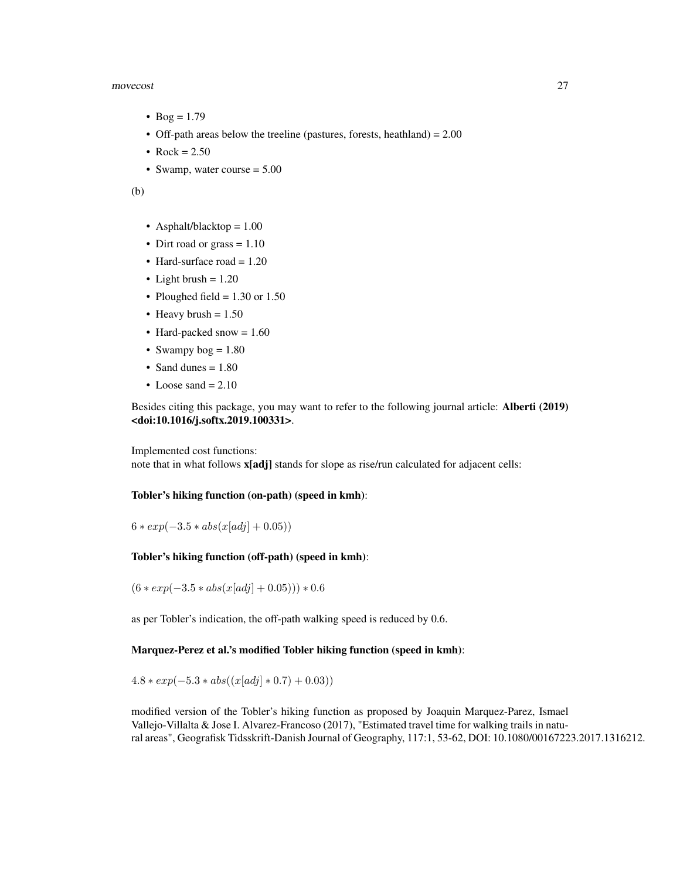### movecost 27

- Bog =  $1.79$
- Off-path areas below the treeline (pastures, forests, heathland) = 2.00
- Rock =  $2.50$
- Swamp, water course = 5.00

(b)

- Asphalt/blacktop = 1.00
- Dirt road or grass  $= 1.10$
- Hard-surface road  $= 1.20$
- Light brush  $= 1.20$
- Ploughed field  $= 1.30$  or 1.50
- Heavy brush  $= 1.50$
- Hard-packed snow  $= 1.60$
- Swampy  $bog = 1.80$
- Sand dunes = 1.80
- Loose sand  $= 2.10$

Besides citing this package, you may want to refer to the following journal article: Alberti (2019) <doi:10.1016/j.softx.2019.100331>.

Implemented cost functions:

note that in what follows **x**[adj] stands for slope as rise/run calculated for adjacent cells:

### Tobler's hiking function (on-path) (speed in kmh):

 $6 * exp(-3.5 * abs(x[adi] + 0.05))$ 

## Tobler's hiking function (off-path) (speed in kmh):

 $(6 \times exp(-3.5 \times abs(x[adj] + 0.05))) \times 0.6$ 

as per Tobler's indication, the off-path walking speed is reduced by 0.6.

### Marquez-Perez et al.'s modified Tobler hiking function (speed in kmh):

 $4.8 * exp(-5.3 * abs((x[adj] * 0.7) + 0.03))$ 

modified version of the Tobler's hiking function as proposed by Joaquin Marquez-Parez, Ismael Vallejo-Villalta & Jose I. Alvarez-Francoso (2017), "Estimated travel time for walking trails in natural areas", Geografisk Tidsskrift-Danish Journal of Geography, 117:1, 53-62, DOI: 10.1080/00167223.2017.1316212.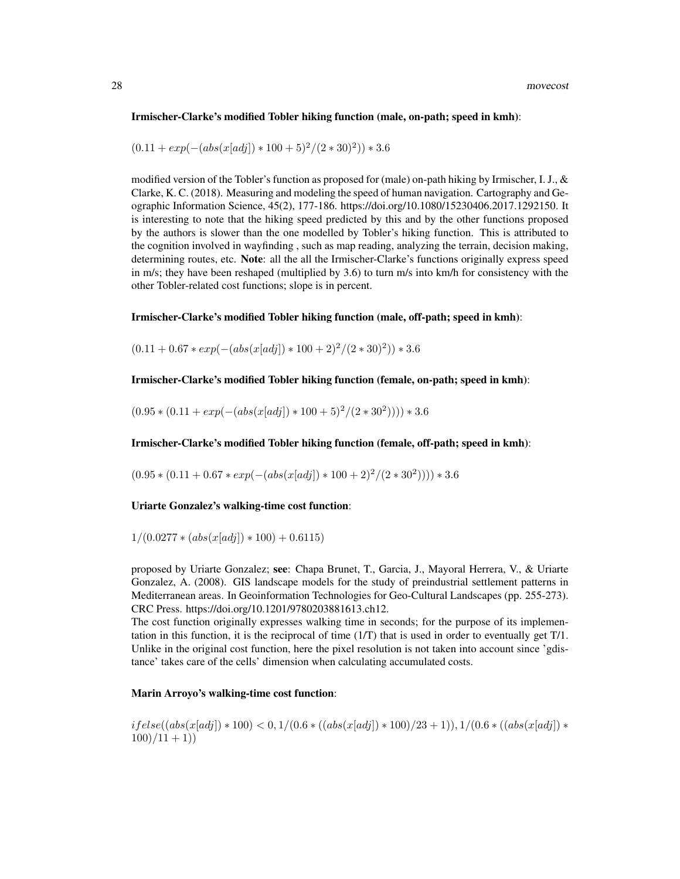### Irmischer-Clarke's modified Tobler hiking function (male, on-path; speed in kmh):

$$
(0.11 + exp(-(abs(x[adj]) * 100 + 5)^{2}/(2 * 30)^{2})) * 3.6
$$

modified version of the Tobler's function as proposed for (male) on-path hiking by Irmischer, I. J., & Clarke, K. C. (2018). Measuring and modeling the speed of human navigation. Cartography and Geographic Information Science, 45(2), 177-186. https://doi.org/10.1080/15230406.2017.1292150. It is interesting to note that the hiking speed predicted by this and by the other functions proposed by the authors is slower than the one modelled by Tobler's hiking function. This is attributed to the cognition involved in wayfinding , such as map reading, analyzing the terrain, decision making, determining routes, etc. Note: all the all the Irmischer-Clarke's functions originally express speed in m/s; they have been reshaped (multiplied by 3.6) to turn m/s into km/h for consistency with the other Tobler-related cost functions; slope is in percent.

## Irmischer-Clarke's modified Tobler hiking function (male, off-path; speed in kmh):

 $(0.11 + 0.67 * exp(-(abs(x[adj]) * 100 + 2)^{2}/(2 * 30)^{2})) * 3.6$ 

Irmischer-Clarke's modified Tobler hiking function (female, on-path; speed in kmh):

 $(0.95 * (0.11 + exp(-(abs(x[adj]) * 100 + 5)^{2}/(2 * 30^{2})))) * 3.6$ 

Irmischer-Clarke's modified Tobler hiking function (female, off-path; speed in kmh):

 $(0.95 * (0.11 + 0.67 * exp(-(abs(x[adj]) * 100 + 2)^{2}/(2 * 30^{2})))) * 3.6$ 

### Uriarte Gonzalez's walking-time cost function:

 $1/(0.0277 * (abs(x[adj]) * 100) + 0.6115)$ 

proposed by Uriarte Gonzalez; see: Chapa Brunet, T., Garcia, J., Mayoral Herrera, V., & Uriarte Gonzalez, A. (2008). GIS landscape models for the study of preindustrial settlement patterns in Mediterranean areas. In Geoinformation Technologies for Geo-Cultural Landscapes (pp. 255-273). CRC Press. https://doi.org/10.1201/9780203881613.ch12.

The cost function originally expresses walking time in seconds; for the purpose of its implementation in this function, it is the reciprocal of time  $(1/T)$  that is used in order to eventually get  $T/1$ . Unlike in the original cost function, here the pixel resolution is not taken into account since 'gdistance' takes care of the cells' dimension when calculating accumulated costs.

### Marin Arroyo's walking-time cost function:

 $if else((abs(x[adj]) * 100) < 0, 1/(0.6 * ((abs(x[adj]) * 100)/23 + 1)), 1/(0.6 * ((abs(x[adj])) * 100))$  $100)/11 + 1)$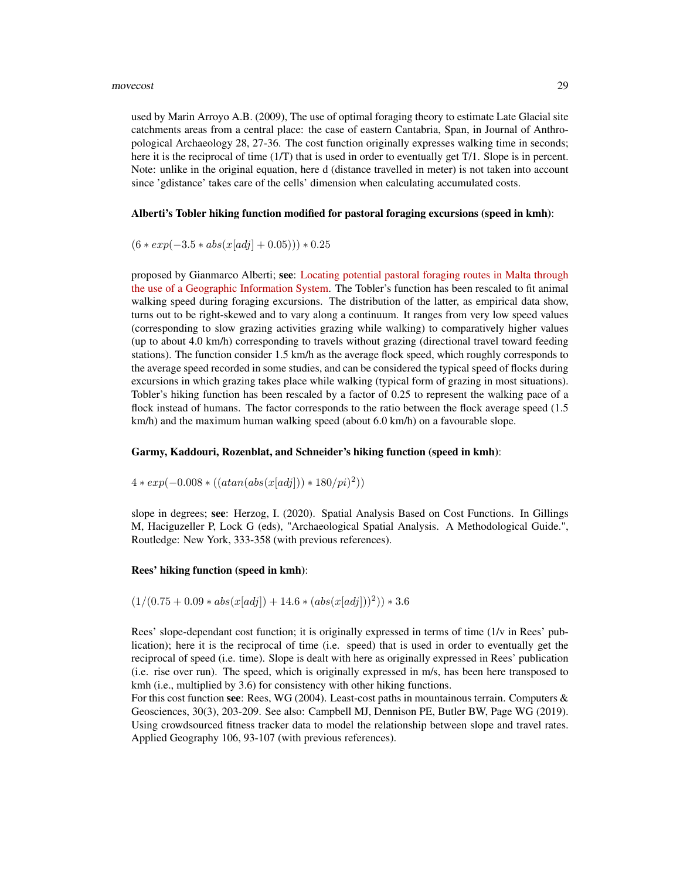used by Marin Arroyo A.B. (2009), The use of optimal foraging theory to estimate Late Glacial site catchments areas from a central place: the case of eastern Cantabria, Span, in Journal of Anthropological Archaeology 28, 27-36. The cost function originally expresses walking time in seconds; here it is the reciprocal of time (1/T) that is used in order to eventually get T/1. Slope is in percent. Note: unlike in the original equation, here d (distance travelled in meter) is not taken into account since 'gdistance' takes care of the cells' dimension when calculating accumulated costs.

### Alberti's Tobler hiking function modified for pastoral foraging excursions (speed in kmh):

 $(6 \times exp(-3.5 \times abs(x[adj] + 0.05))) \times 0.25$ 

proposed by Gianmarco Alberti; see: [Locating potential pastoral foraging routes in Malta through](https://www.um.edu.mt/library/oar/bitstream/123456789/64172/1/Chapter_9_Locating_potential_pastoral_foraging_routes.pdf) [the use of a Geographic Information System.](https://www.um.edu.mt/library/oar/bitstream/123456789/64172/1/Chapter_9_Locating_potential_pastoral_foraging_routes.pdf) The Tobler's function has been rescaled to fit animal walking speed during foraging excursions. The distribution of the latter, as empirical data show, turns out to be right-skewed and to vary along a continuum. It ranges from very low speed values (corresponding to slow grazing activities grazing while walking) to comparatively higher values (up to about 4.0 km/h) corresponding to travels without grazing (directional travel toward feeding stations). The function consider 1.5 km/h as the average flock speed, which roughly corresponds to the average speed recorded in some studies, and can be considered the typical speed of flocks during excursions in which grazing takes place while walking (typical form of grazing in most situations). Tobler's hiking function has been rescaled by a factor of 0.25 to represent the walking pace of a flock instead of humans. The factor corresponds to the ratio between the flock average speed (1.5 km/h) and the maximum human walking speed (about 6.0 km/h) on a favourable slope.

## Garmy, Kaddouri, Rozenblat, and Schneider's hiking function (speed in kmh):

 $4 * exp(-0.008 * ((atan(abs(x[adj])) * 180/pi)^{2}))$ 

slope in degrees; see: Herzog, I. (2020). Spatial Analysis Based on Cost Functions. In Gillings M, Haciguzeller P, Lock G (eds), "Archaeological Spatial Analysis. A Methodological Guide.", Routledge: New York, 333-358 (with previous references).

### Rees' hiking function (speed in kmh):

$$
(1/(0.75+0.09*abs(x[adj]) + 14.6*(abs(x[adj]))^2))*3.6
$$

Rees' slope-dependant cost function; it is originally expressed in terms of time (1/v in Rees' publication); here it is the reciprocal of time (i.e. speed) that is used in order to eventually get the reciprocal of speed (i.e. time). Slope is dealt with here as originally expressed in Rees' publication (i.e. rise over run). The speed, which is originally expressed in m/s, has been here transposed to kmh (i.e., multiplied by 3.6) for consistency with other hiking functions.

For this cost function see: Rees, WG (2004). Least-cost paths in mountainous terrain. Computers  $\&$ Geosciences, 30(3), 203-209. See also: Campbell MJ, Dennison PE, Butler BW, Page WG (2019). Using crowdsourced fitness tracker data to model the relationship between slope and travel rates. Applied Geography 106, 93-107 (with previous references).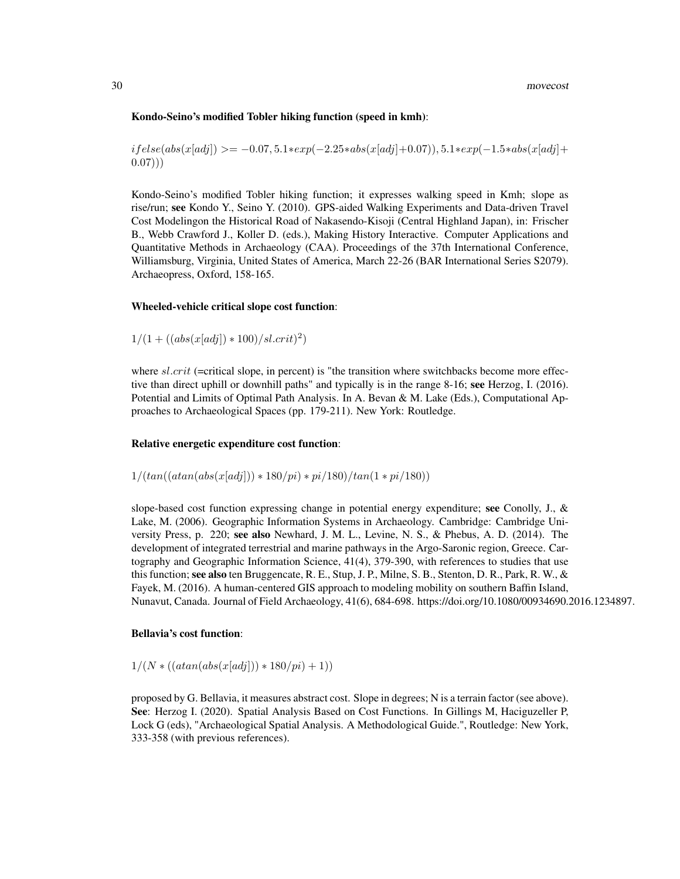### Kondo-Seino's modified Tobler hiking function (speed in kmh):

 $if else(abs(x[adi]) \geq -0.07, 5.1*exp(-2.25*abs(x[adi]+0.07)), 5.1*exp(-1.5*abs(x[adi]+0.07))$  $(0.07))$ 

Kondo-Seino's modified Tobler hiking function; it expresses walking speed in Kmh; slope as rise/run; see Kondo Y., Seino Y. (2010). GPS-aided Walking Experiments and Data-driven Travel Cost Modelingon the Historical Road of Nakasendo-Kisoji (Central Highland Japan), in: Frischer B., Webb Crawford J., Koller D. (eds.), Making History Interactive. Computer Applications and Quantitative Methods in Archaeology (CAA). Proceedings of the 37th International Conference, Williamsburg, Virginia, United States of America, March 22-26 (BAR International Series S2079). Archaeopress, Oxford, 158-165.

### Wheeled-vehicle critical slope cost function:

$$
1/(1 + ((abs(x[adj]) * 100)/sl.crit)^2)
$$

where  $sl.crit$  (=critical slope, in percent) is "the transition where switchbacks become more effective than direct uphill or downhill paths" and typically is in the range 8-16; see Herzog, I. (2016). Potential and Limits of Optimal Path Analysis. In A. Bevan & M. Lake (Eds.), Computational Approaches to Archaeological Spaces (pp. 179-211). New York: Routledge.

### Relative energetic expenditure cost function:

$$
1/(tan((atan(abs(x[adj])) * 180/pi) * pi/180)/tan(1 * pi/180))
$$

slope-based cost function expressing change in potential energy expenditure; see Conolly, J.,  $\&$ Lake, M. (2006). Geographic Information Systems in Archaeology. Cambridge: Cambridge University Press, p. 220; see also Newhard, J. M. L., Levine, N. S., & Phebus, A. D. (2014). The development of integrated terrestrial and marine pathways in the Argo-Saronic region, Greece. Cartography and Geographic Information Science, 41(4), 379-390, with references to studies that use this function; see also ten Bruggencate, R. E., Stup, J. P., Milne, S. B., Stenton, D. R., Park, R. W., & Fayek, M. (2016). A human-centered GIS approach to modeling mobility on southern Baffin Island, Nunavut, Canada. Journal of Field Archaeology, 41(6), 684-698. https://doi.org/10.1080/00934690.2016.1234897.

### Bellavia's cost function:

 $1/(N * ((atan(abs(x[adj])) * 180/pi) + 1))$ 

proposed by G. Bellavia, it measures abstract cost. Slope in degrees; N is a terrain factor (see above). See: Herzog I. (2020). Spatial Analysis Based on Cost Functions. In Gillings M, Haciguzeller P, Lock G (eds), "Archaeological Spatial Analysis. A Methodological Guide.", Routledge: New York, 333-358 (with previous references).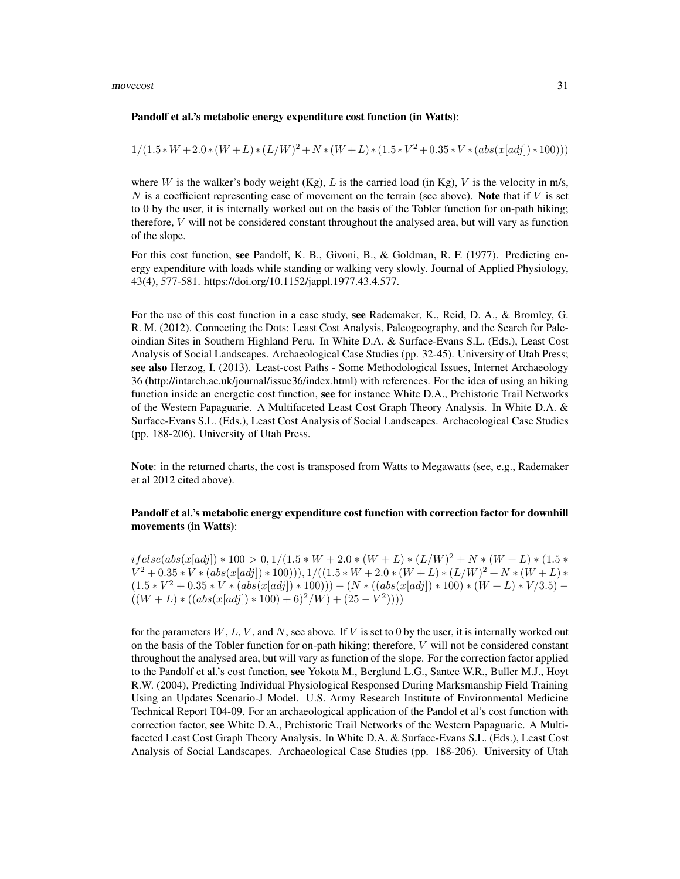### movecost 31

### Pandolf et al.'s metabolic energy expenditure cost function (in Watts):

$$
1/(1.5*W+2.0*(W+L)*(L/W)^2+N*(W+L)*(1.5*V^2+0.35*V*(abs(x[adj))*100)))
$$

where W is the walker's body weight (Kg),  $L$  is the carried load (in Kg),  $V$  is the velocity in m/s, N is a coefficient representing ease of movement on the terrain (see above). Note that if  $V$  is set to 0 by the user, it is internally worked out on the basis of the Tobler function for on-path hiking; therefore,  $V$  will not be considered constant throughout the analysed area, but will vary as function of the slope.

For this cost function, see Pandolf, K. B., Givoni, B., & Goldman, R. F. (1977). Predicting energy expenditure with loads while standing or walking very slowly. Journal of Applied Physiology, 43(4), 577-581. https://doi.org/10.1152/jappl.1977.43.4.577.

For the use of this cost function in a case study, see Rademaker, K., Reid, D. A., & Bromley, G. R. M. (2012). Connecting the Dots: Least Cost Analysis, Paleogeography, and the Search for Paleoindian Sites in Southern Highland Peru. In White D.A. & Surface-Evans S.L. (Eds.), Least Cost Analysis of Social Landscapes. Archaeological Case Studies (pp. 32-45). University of Utah Press; see also Herzog, I. (2013). Least-cost Paths - Some Methodological Issues, Internet Archaeology 36 (http://intarch.ac.uk/journal/issue36/index.html) with references. For the idea of using an hiking function inside an energetic cost function, see for instance White D.A., Prehistoric Trail Networks of the Western Papaguarie. A Multifaceted Least Cost Graph Theory Analysis. In White D.A. & Surface-Evans S.L. (Eds.), Least Cost Analysis of Social Landscapes. Archaeological Case Studies (pp. 188-206). University of Utah Press.

Note: in the returned charts, the cost is transposed from Watts to Megawatts (see, e.g., Rademaker et al 2012 cited above).

## Pandolf et al.'s metabolic energy expenditure cost function with correction factor for downhill movements (in Watts):

 $if else(abs(x[adj]) * 100 > 0, 1/(1.5 * W + 2.0 * (W + L) * (L/W)^{2} + N * (W + L) * (1.5 *$  $V^2 + 0.35 * V * (abs(x[adj]) * 100))$ ),  $1/((1.5 * W + 2.0 * (W + L) * (L/W)^2 + N * (W + L) *$  $(1.5 * V^2 + 0.35 * V * (abs(x[adj]) * 100))) - (N * ((abs(x[adj]) * 100) * (W + L) * V/3.5) ((W + L) * ((abs(x[adj]) * 100) + 6)^2/W) + (25 - V^2))))$ 

for the parameters  $W, L, V$ , and N, see above. If V is set to 0 by the user, it is internally worked out on the basis of the Tobler function for on-path hiking; therefore, V will not be considered constant throughout the analysed area, but will vary as function of the slope. For the correction factor applied to the Pandolf et al.'s cost function, see Yokota M., Berglund L.G., Santee W.R., Buller M.J., Hoyt R.W. (2004), Predicting Individual Physiological Responsed During Marksmanship Field Training Using an Updates Scenario-J Model. U.S. Army Research Institute of Environmental Medicine Technical Report T04-09. For an archaeological application of the Pandol et al's cost function with correction factor, see White D.A., Prehistoric Trail Networks of the Western Papaguarie. A Multifaceted Least Cost Graph Theory Analysis. In White D.A. & Surface-Evans S.L. (Eds.), Least Cost Analysis of Social Landscapes. Archaeological Case Studies (pp. 188-206). University of Utah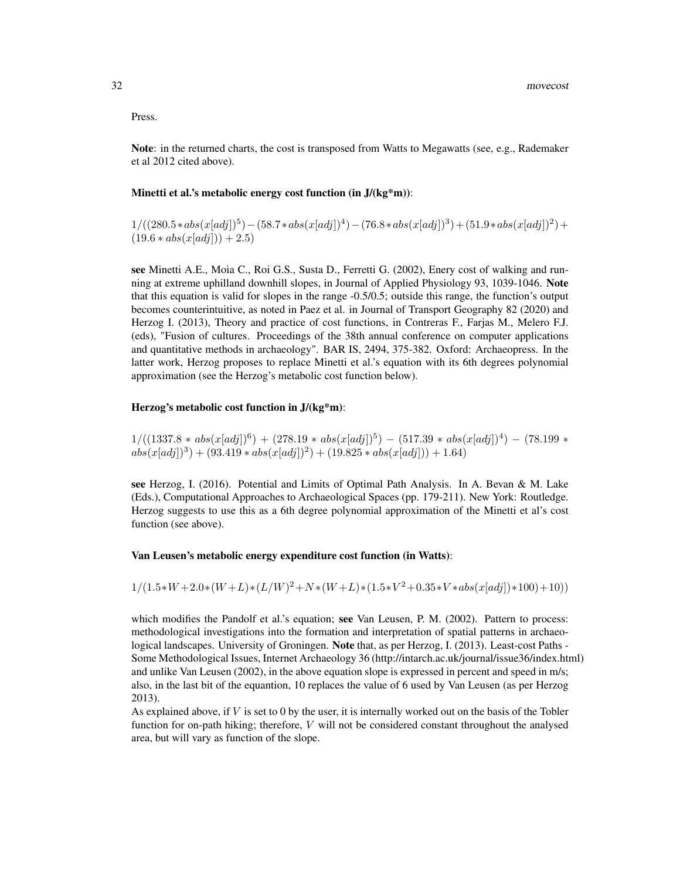### Press.

Note: in the returned charts, the cost is transposed from Watts to Megawatts (see, e.g., Rademaker et al 2012 cited above).

### Minetti et al.'s metabolic energy cost function (in J/(kg\*m)):

 $1/((280.5*abs(x[adj])^5) - (58.7*abs(x[adj])^4) - (76.8*abs(x[adj])^3) + (51.9*abs(x[adj])^2) +$  $(19.6 * abs(x[adj])) + 2.5)$ 

see Minetti A.E., Moia C., Roi G.S., Susta D., Ferretti G. (2002), Enery cost of walking and running at extreme uphilland downhill slopes, in Journal of Applied Physiology 93, 1039-1046. Note that this equation is valid for slopes in the range -0.5/0.5; outside this range, the function's output becomes counterintuitive, as noted in Paez et al. in Journal of Transport Geography 82 (2020) and Herzog I. (2013), Theory and practice of cost functions, in Contreras F., Farjas M., Melero F.J. (eds), "Fusion of cultures. Proceedings of the 38th annual conference on computer applications and quantitative methods in archaeology". BAR IS, 2494, 375-382. Oxford: Archaeopress. In the latter work, Herzog proposes to replace Minetti et al.'s equation with its 6th degrees polynomial approximation (see the Herzog's metabolic cost function below).

### Herzog's metabolic cost function in J/(kg\*m):

 $1/((1337.8 * abs(x[adj])^6) + (278.19 * abs(x[adj])^5) - (517.39 * abs(x[adj])^4) - (78.199 *$  $abs(x[adj])^3) + (93.419 * abs(x[adj])^2) + (19.825 * abs(x[adj])) + 1.64)$ 

see Herzog, I. (2016). Potential and Limits of Optimal Path Analysis. In A. Bevan & M. Lake (Eds.), Computational Approaches to Archaeological Spaces (pp. 179-211). New York: Routledge. Herzog suggests to use this as a 6th degree polynomial approximation of the Minetti et al's cost function (see above).

### Van Leusen's metabolic energy expenditure cost function (in Watts):

## $1/(1.5*W+2.0*(W+L)*(L/W)^2+N*(W+L)*(1.5*V^2+0.35*V*abs(x[adj))*100)+10))$

which modifies the Pandolf et al.'s equation; see Van Leusen, P. M. (2002). Pattern to process: methodological investigations into the formation and interpretation of spatial patterns in archaeological landscapes. University of Groningen. Note that, as per Herzog, I. (2013). Least-cost Paths -Some Methodological Issues, Internet Archaeology 36 (http://intarch.ac.uk/journal/issue36/index.html) and unlike Van Leusen (2002), in the above equation slope is expressed in percent and speed in m/s; also, in the last bit of the equantion, 10 replaces the value of 6 used by Van Leusen (as per Herzog 2013).

As explained above, if  $V$  is set to 0 by the user, it is internally worked out on the basis of the Tobler function for on-path hiking; therefore, V will not be considered constant throughout the analysed area, but will vary as function of the slope.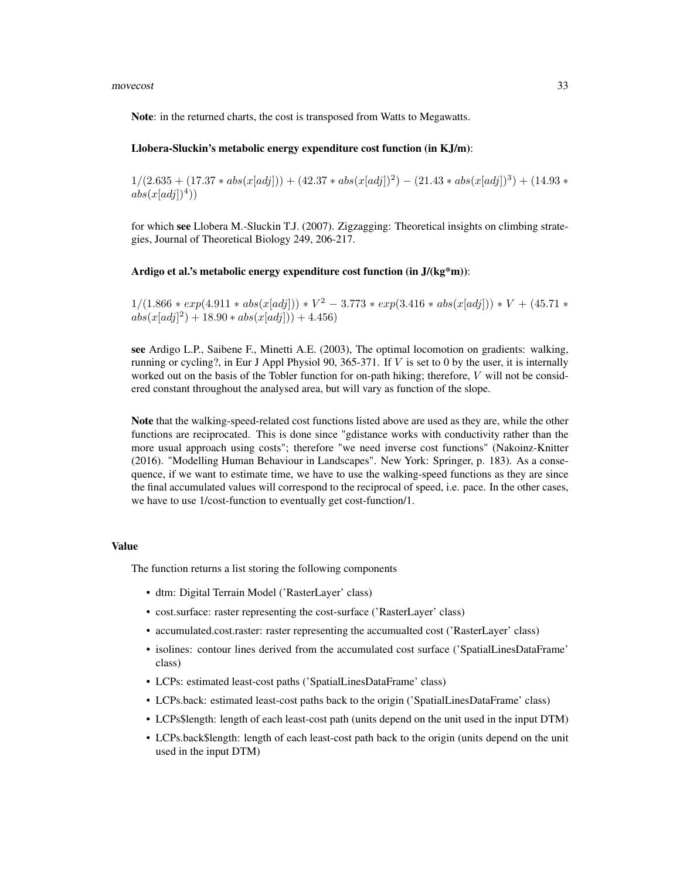### movecost 33

Note: in the returned charts, the cost is transposed from Watts to Megawatts.

### Llobera-Sluckin's metabolic energy expenditure cost function (in KJ/m):

 $1/(2.635 + (17.37 * abs(x[adj])) + (42.37 * abs(x[adj])^2) - (21.43 * abs(x[adj]))^3) + (14.93 *$  $abs(x[adj])<sup>4</sup>)$ 

for which see Llobera M.-Sluckin T.J. (2007). Zigzagging: Theoretical insights on climbing strategies, Journal of Theoretical Biology 249, 206-217.

### Ardigo et al.'s metabolic energy expenditure cost function (in J/(kg\*m)):

 $1/(1.866 * exp(4.911 * abs(x[adj])) * V^2 - 3.773 * exp(3.416 * abs(x[adj])) * V + (45.71 *$  $abs(x[adj]<sup>2</sup>) + 18.90 * abs(x[adj])) + 4.456)$ 

see Ardigo L.P., Saibene F., Minetti A.E. (2003), The optimal locomotion on gradients: walking, running or cycling?, in Eur J Appl Physiol 90, 365-371. If  $V$  is set to 0 by the user, it is internally worked out on the basis of the Tobler function for on-path hiking; therefore, V will not be considered constant throughout the analysed area, but will vary as function of the slope.

Note that the walking-speed-related cost functions listed above are used as they are, while the other functions are reciprocated. This is done since "gdistance works with conductivity rather than the more usual approach using costs"; therefore "we need inverse cost functions" (Nakoinz-Knitter (2016). "Modelling Human Behaviour in Landscapes". New York: Springer, p. 183). As a consequence, if we want to estimate time, we have to use the walking-speed functions as they are since the final accumulated values will correspond to the reciprocal of speed, i.e. pace. In the other cases, we have to use 1/cost-function to eventually get cost-function/1.

### Value

The function returns a list storing the following components

- dtm: Digital Terrain Model ('RasterLayer' class)
- cost.surface: raster representing the cost-surface ('RasterLayer' class)
- accumulated.cost.raster: raster representing the accumualted cost ('RasterLayer' class)
- isolines: contour lines derived from the accumulated cost surface ('SpatialLinesDataFrame' class)
- LCPs: estimated least-cost paths ('SpatialLinesDataFrame' class)
- LCPs.back: estimated least-cost paths back to the origin ('SpatialLinesDataFrame' class)
- LCPs\$length: length of each least-cost path (units depend on the unit used in the input DTM)
- LCPs.back\$length: length of each least-cost path back to the origin (units depend on the unit used in the input DTM)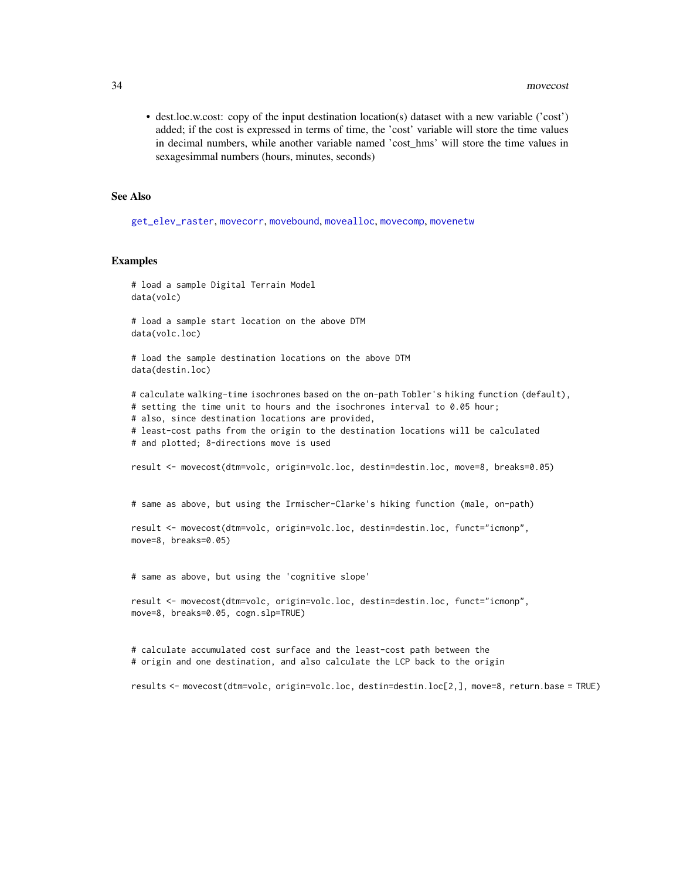<span id="page-33-0"></span>• dest.loc.w.cost: copy of the input destination location(s) dataset with a new variable ('cost') added; if the cost is expressed in terms of time, the 'cost' variable will store the time values in decimal numbers, while another variable named 'cost\_hms' will store the time values in sexagesimmal numbers (hours, minutes, seconds)

### See Also

[get\\_elev\\_raster](#page-0-0), [movecorr](#page-15-1), [movebound](#page-7-1), [movealloc](#page-3-1), [movecomp](#page-11-1), [movenetw](#page-34-1)

## Examples

```
# load a sample Digital Terrain Model
data(volc)
# load a sample start location on the above DTM
data(volc.loc)
# load the sample destination locations on the above DTM
data(destin.loc)
# calculate walking-time isochrones based on the on-path Tobler's hiking function (default),
# setting the time unit to hours and the isochrones interval to 0.05 hour;
# also, since destination locations are provided,
# least-cost paths from the origin to the destination locations will be calculated
# and plotted; 8-directions move is used
result <- movecost(dtm=volc, origin=volc.loc, destin=destin.loc, move=8, breaks=0.05)
# same as above, but using the Irmischer-Clarke's hiking function (male, on-path)
result <- movecost(dtm=volc, origin=volc.loc, destin=destin.loc, funct="icmonp",
move=8, breaks=0.05)
# same as above, but using the 'cognitive slope'
result <- movecost(dtm=volc, origin=volc.loc, destin=destin.loc, funct="icmonp",
move=8, breaks=0.05, cogn.slp=TRUE)
```
# calculate accumulated cost surface and the least-cost path between the # origin and one destination, and also calculate the LCP back to the origin

results <- movecost(dtm=volc, origin=volc.loc, destin=destin.loc[2,], move=8, return.base = TRUE)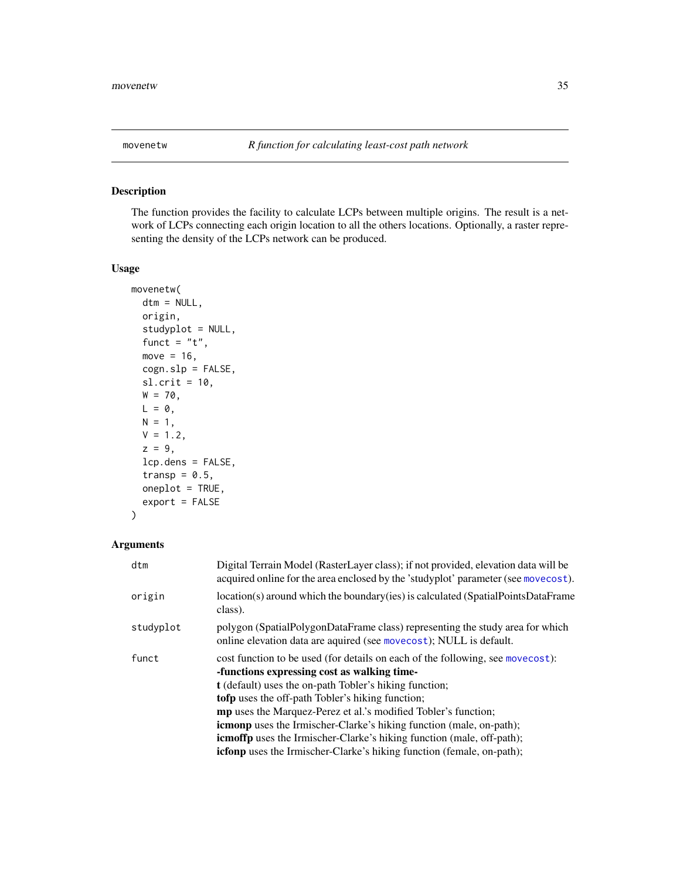## <span id="page-34-1"></span><span id="page-34-0"></span>Description

The function provides the facility to calculate LCPs between multiple origins. The result is a network of LCPs connecting each origin location to all the others locations. Optionally, a raster representing the density of the LCPs network can be produced.

## Usage

```
movenetw(
  dtm = NULL,
  origin,
  studyplot = NULL,
  funct = "t",move = 16,
  cogn.slp = FALSE,
  sl.crit = 10,W = 70,
 L = 0,
 N = 1,
 V = 1.2,
  z = 9,
  lcp.dens = FALSE,
  transp = 0.5,
  oneplot = TRUE,
  export = FALSE
)
```
## Arguments

| dtm       | Digital Terrain Model (RasterLayer class); if not provided, elevation data will be<br>acquired online for the area enclosed by the 'studyplot' parameter (see movecost).                                                                                                                                                                                                                                                                                                                                                                                           |
|-----------|--------------------------------------------------------------------------------------------------------------------------------------------------------------------------------------------------------------------------------------------------------------------------------------------------------------------------------------------------------------------------------------------------------------------------------------------------------------------------------------------------------------------------------------------------------------------|
| origin    | location(s) around which the boundary (ies) is calculated (SpatialPointsDataFrame<br>class).                                                                                                                                                                                                                                                                                                                                                                                                                                                                       |
| studyplot | polygon (SpatialPolygonDataFrame class) representing the study area for which<br>online elevation data are aquired (see movecost); NULL is default.                                                                                                                                                                                                                                                                                                                                                                                                                |
| funct     | cost function to be used (for details on each of the following, see movecost):<br>-functions expressing cost as walking time-<br>t (default) uses the on-path Tobler's hiking function;<br><b>tofp</b> uses the off-path Tobler's hiking function;<br><b>mp</b> uses the Marquez-Perez et al.'s modified Tobler's function;<br><b>icmonp</b> uses the Irmischer-Clarke's hiking function (male, on-path);<br><b>icmoffp</b> uses the Irmischer-Clarke's hiking function (male, off-path);<br>icfonp uses the Irmischer-Clarke's hiking function (female, on-path); |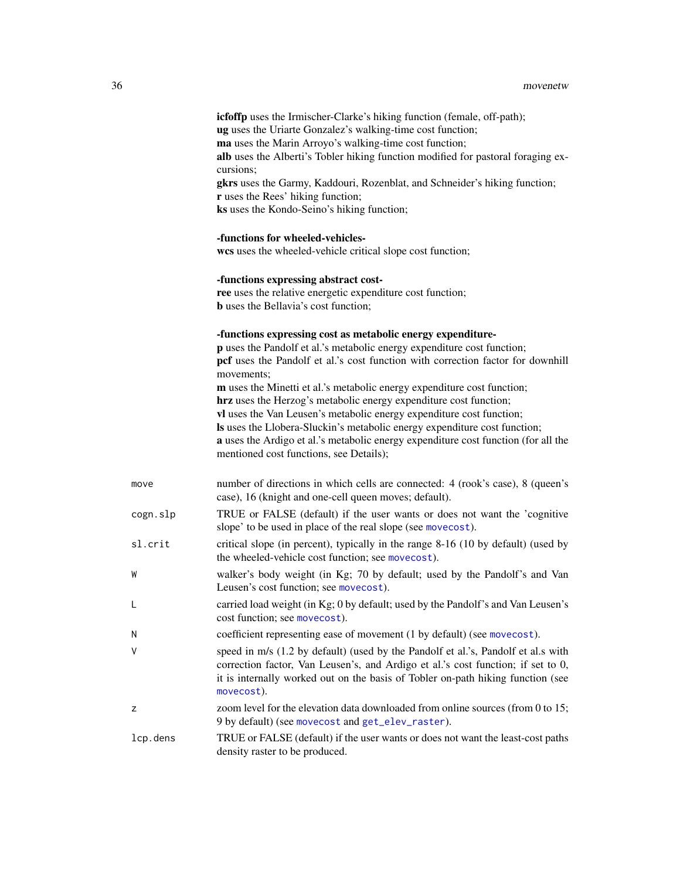<span id="page-35-0"></span>

|          | <b>icfoffp</b> uses the Irmischer-Clarke's hiking function (female, off-path);<br>ug uses the Uriarte Gonzalez's walking-time cost function;                                                                                                                                                                                                                                                                                       |
|----------|------------------------------------------------------------------------------------------------------------------------------------------------------------------------------------------------------------------------------------------------------------------------------------------------------------------------------------------------------------------------------------------------------------------------------------|
|          | ma uses the Marin Arroyo's walking-time cost function;<br>alb uses the Alberti's Tobler hiking function modified for pastoral foraging ex-<br>cursions;                                                                                                                                                                                                                                                                            |
|          | gkrs uses the Garmy, Kaddouri, Rozenblat, and Schneider's hiking function;<br>r uses the Rees' hiking function;<br>ks uses the Kondo-Seino's hiking function;                                                                                                                                                                                                                                                                      |
|          | -functions for wheeled-vehicles-<br>wcs uses the wheeled-vehicle critical slope cost function;                                                                                                                                                                                                                                                                                                                                     |
|          | -functions expressing abstract cost-<br>ree uses the relative energetic expenditure cost function;<br><b>b</b> uses the Bellavia's cost function;                                                                                                                                                                                                                                                                                  |
|          | -functions expressing cost as metabolic energy expenditure-<br>p uses the Pandolf et al.'s metabolic energy expenditure cost function;<br>pcf uses the Pandolf et al.'s cost function with correction factor for downhill<br>movements;                                                                                                                                                                                            |
|          | m uses the Minetti et al.'s metabolic energy expenditure cost function;<br>hrz uses the Herzog's metabolic energy expenditure cost function;<br>vl uses the Van Leusen's metabolic energy expenditure cost function;<br>Is uses the Llobera-Sluckin's metabolic energy expenditure cost function;<br>a uses the Ardigo et al.'s metabolic energy expenditure cost function (for all the<br>mentioned cost functions, see Details); |
| move     | number of directions in which cells are connected: 4 (rook's case), 8 (queen's<br>case), 16 (knight and one-cell queen moves; default).                                                                                                                                                                                                                                                                                            |
| cogn.slp | TRUE or FALSE (default) if the user wants or does not want the 'cognitive<br>slope' to be used in place of the real slope (see movecost).                                                                                                                                                                                                                                                                                          |
| sl.crit  | critical slope (in percent), typically in the range 8-16 (10 by default) (used by<br>the wheeled-vehicle cost function; see movecost).                                                                                                                                                                                                                                                                                             |
| W        | walker's body weight (in Kg; 70 by default; used by the Pandolf's and Van<br>Leusen's cost function; see movecost).                                                                                                                                                                                                                                                                                                                |
|          | carried load weight (in Kg; 0 by default; used by the Pandolf's and Van Leusen's<br>cost function; see movecost).                                                                                                                                                                                                                                                                                                                  |
| N        | coefficient representing ease of movement (1 by default) (see movecost).                                                                                                                                                                                                                                                                                                                                                           |
| V        | speed in m/s (1.2 by default) (used by the Pandolf et al.'s, Pandolf et al.s with<br>correction factor, Van Leusen's, and Ardigo et al.'s cost function; if set to 0,<br>it is internally worked out on the basis of Tobler on-path hiking function (see<br>movecost).                                                                                                                                                             |
| z        | zoom level for the elevation data downloaded from online sources (from 0 to 15;<br>9 by default) (see movecost and get_elev_raster).                                                                                                                                                                                                                                                                                               |
| lcp.dens | TRUE or FALSE (default) if the user wants or does not want the least-cost paths<br>density raster to be produced.                                                                                                                                                                                                                                                                                                                  |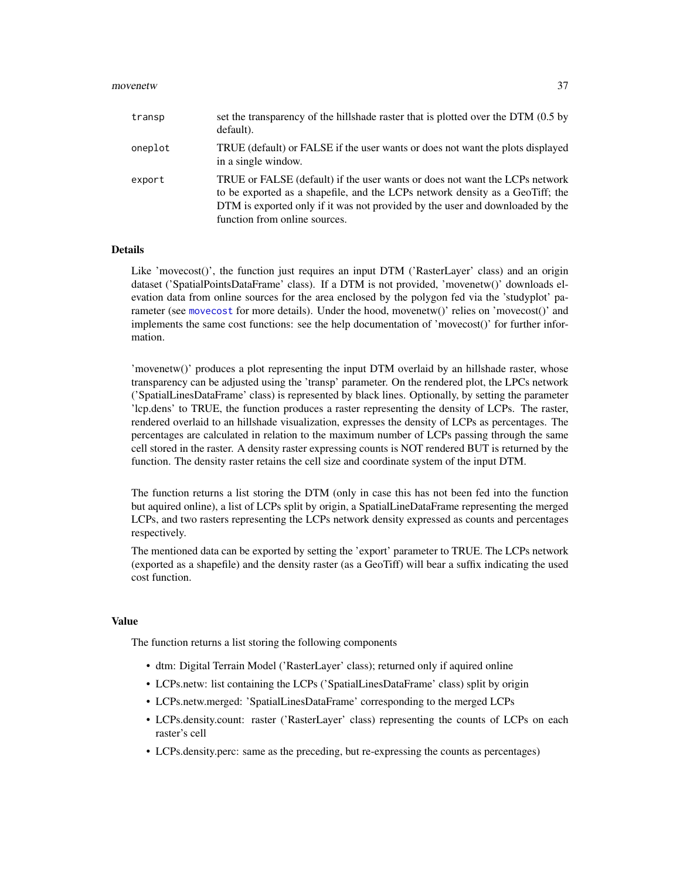### movenetw 37

| transp  | set the transparency of the hillshade raster that is plotted over the DTM (0.5 by<br>default).                                                                                                                                                                                 |
|---------|--------------------------------------------------------------------------------------------------------------------------------------------------------------------------------------------------------------------------------------------------------------------------------|
| oneplot | TRUE (default) or FALSE if the user wants or does not want the plots displayed<br>in a single window.                                                                                                                                                                          |
| export  | TRUE or FALSE (default) if the user wants or does not want the LCPs network<br>to be exported as a shapefile, and the LCPs network density as a GeoTiff; the<br>DTM is exported only if it was not provided by the user and downloaded by the<br>function from online sources. |

### Details

Like 'movecost()', the function just requires an input DTM ('RasterLayer' class) and an origin dataset ('SpatialPointsDataFrame' class). If a DTM is not provided, 'movenetw()' downloads elevation data from online sources for the area enclosed by the polygon fed via the 'studyplot' parameter (see [movecost](#page-20-1) for more details). Under the hood, movenetw()' relies on 'movecost()' and implements the same cost functions: see the help documentation of 'movecost()' for further information.

'movenetw()' produces a plot representing the input DTM overlaid by an hillshade raster, whose transparency can be adjusted using the 'transp' parameter. On the rendered plot, the LPCs network ('SpatialLinesDataFrame' class) is represented by black lines. Optionally, by setting the parameter 'lcp.dens' to TRUE, the function produces a raster representing the density of LCPs. The raster, rendered overlaid to an hillshade visualization, expresses the density of LCPs as percentages. The percentages are calculated in relation to the maximum number of LCPs passing through the same cell stored in the raster. A density raster expressing counts is NOT rendered BUT is returned by the function. The density raster retains the cell size and coordinate system of the input DTM.

The function returns a list storing the DTM (only in case this has not been fed into the function but aquired online), a list of LCPs split by origin, a SpatialLineDataFrame representing the merged LCPs, and two rasters representing the LCPs network density expressed as counts and percentages respectively.

The mentioned data can be exported by setting the 'export' parameter to TRUE. The LCPs network (exported as a shapefile) and the density raster (as a GeoTiff) will bear a suffix indicating the used cost function.

## Value

The function returns a list storing the following components

- dtm: Digital Terrain Model ('RasterLayer' class); returned only if aquired online
- LCPs.netw: list containing the LCPs ('SpatialLinesDataFrame' class) split by origin
- LCPs.netw.merged: 'SpatialLinesDataFrame' corresponding to the merged LCPs
- LCPs.density.count: raster ('RasterLayer' class) representing the counts of LCPs on each raster's cell
- LCPs.density.perc: same as the preceding, but re-expressing the counts as percentages)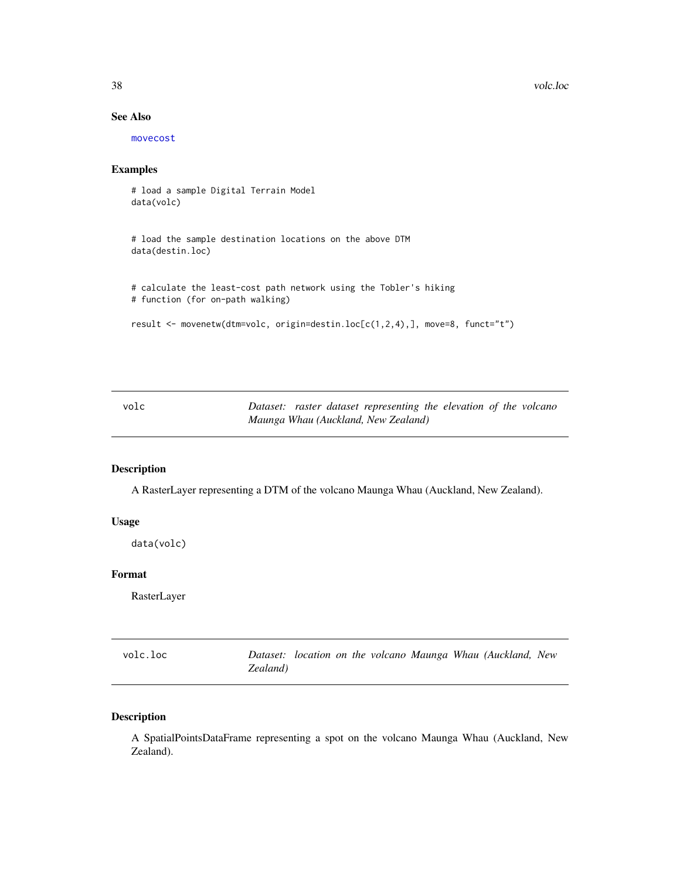38 volc.loc

## See Also

[movecost](#page-20-1)

## Examples

# load a sample Digital Terrain Model data(volc)

# load the sample destination locations on the above DTM data(destin.loc)

```
# calculate the least-cost path network using the Tobler's hiking
# function (for on-path walking)
```

```
result <- movenetw(dtm=volc, origin=destin.loc[c(1,2,4),], move=8, funct="t")
```

| volc |  | Dataset: raster dataset representing the elevation of the volcano |  |  |
|------|--|-------------------------------------------------------------------|--|--|
|      |  | Maunga Whau (Auckland, New Zealand)                               |  |  |

## Description

A RasterLayer representing a DTM of the volcano Maunga Whau (Auckland, New Zealand).

### Usage

data(volc)

## Format

RasterLayer

| volc.loc |          |  |  |  | Dataset: location on the volcano Maunga Whau (Auckland, New |  |
|----------|----------|--|--|--|-------------------------------------------------------------|--|
|          | Zealand) |  |  |  |                                                             |  |

## Description

A SpatialPointsDataFrame representing a spot on the volcano Maunga Whau (Auckland, New Zealand).

<span id="page-37-0"></span>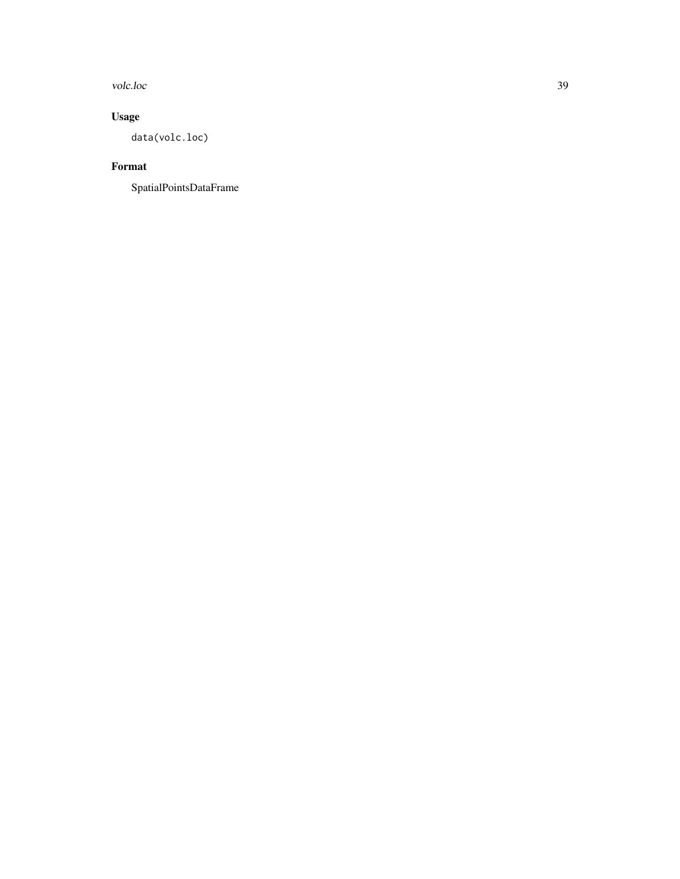volc.loc 39

## Usage

data(volc.loc)

## Format

SpatialPointsDataFrame